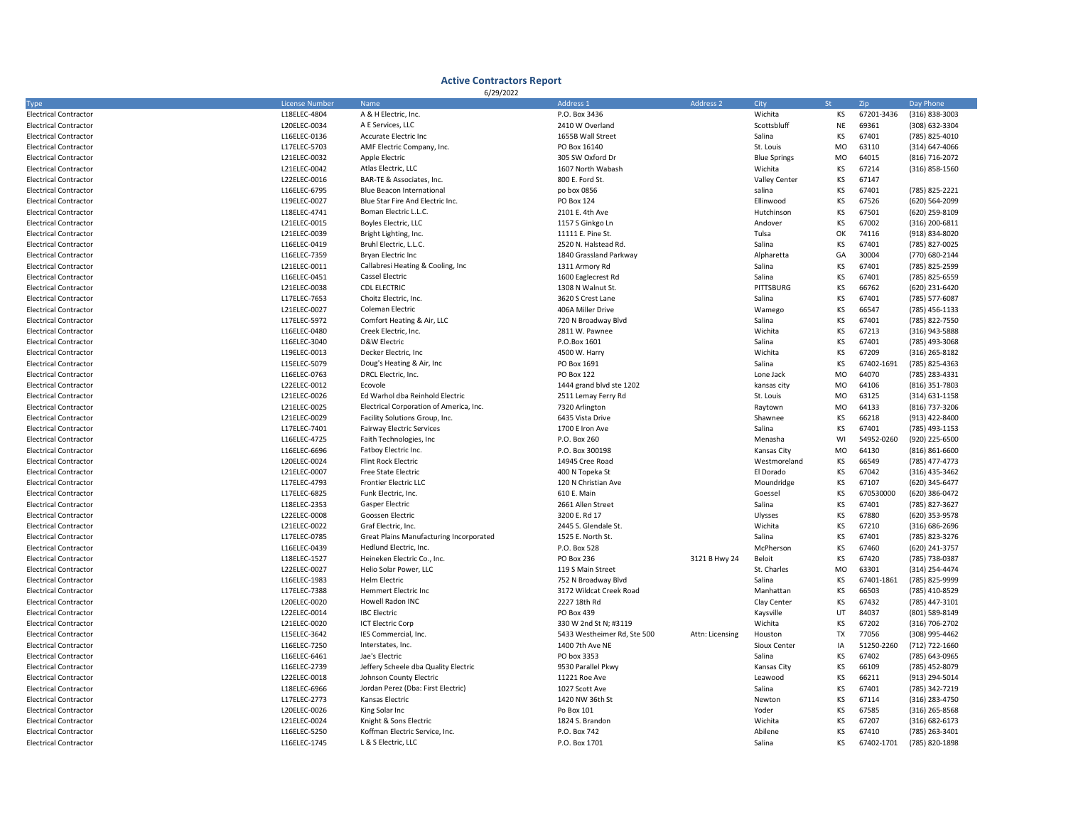## Active Contractors Report

| 6/29/2022                    |                       |                                         |                             |                 |                      |           |            |                    |  |  |
|------------------------------|-----------------------|-----------------------------------------|-----------------------------|-----------------|----------------------|-----------|------------|--------------------|--|--|
| <b>Type</b>                  | <b>License Number</b> | Name                                    | Address 1                   | Address 2       | City<br>St           |           | Zip        | Day Phone          |  |  |
| <b>Electrical Contractor</b> | L18ELEC-4804          | A & H Electric, Inc.                    | P.O. Box 3436               |                 | Wichita              | KS        | 67201-3436 | (316) 838-3003     |  |  |
| <b>Electrical Contractor</b> | L20ELEC-0034          | A E Services, LLC                       | 2410 W Overland             |                 | Scottsbluff          | <b>NE</b> | 69361      | (308) 632-3304     |  |  |
| <b>Electrical Contractor</b> | L16ELEC-0136          | Accurate Electric Inc                   | 1655B Wall Street           |                 | Salina               | KS        | 67401      | (785) 825-4010     |  |  |
| <b>Electrical Contractor</b> | L17ELEC-5703          | AMF Electric Company, Inc.              | PO Box 16140                |                 | St. Louis            | MO        | 63110      | (314) 647-4066     |  |  |
| <b>Electrical Contractor</b> | L21ELEC-0032          | Apple Electric                          | 305 SW Oxford Dr            |                 | <b>Blue Springs</b>  | MO        | 64015      | (816) 716-2072     |  |  |
| <b>Electrical Contractor</b> | L21ELEC-0042          | Atlas Electric, LLC                     | 1607 North Wabash           |                 | Wichita              | KS        | 67214      | (316) 858-1560     |  |  |
| <b>Electrical Contractor</b> | L22ELEC-0016          | BAR-TE & Associates, Inc.               | 800 E. Ford St.             |                 | <b>Valley Center</b> | KS        | 67147      |                    |  |  |
| <b>Electrical Contractor</b> | L16ELEC-6795          | <b>Blue Beacon International</b>        | po box 0856                 |                 | salina               | KS        | 67401      | (785) 825-2221     |  |  |
| <b>Electrical Contractor</b> | L19ELEC-0027          | Blue Star Fire And Electric Inc.        | PO Box 124                  |                 | Ellinwood            | KS        | 67526      | (620) 564-2099     |  |  |
| <b>Electrical Contractor</b> | L18ELEC-4741          | Boman Electric L.L.C.                   | 2101 E. 4th Ave             |                 | Hutchinson           | KS        | 67501      | (620) 259-8109     |  |  |
| <b>Electrical Contractor</b> | L21ELEC-0015          | Boyles Electric, LLC                    | 1157 S Ginkgo Ln            |                 | Andover              | KS        | 67002      | (316) 200-6811     |  |  |
| <b>Electrical Contractor</b> | L21ELEC-0039          | Bright Lighting, Inc.                   | 11111 E. Pine St.           |                 | Tulsa                | OK        | 74116      | (918) 834-8020     |  |  |
| <b>Electrical Contractor</b> | L16ELEC-0419          | Bruhl Electric, L.L.C.                  | 2520 N. Halstead Rd.        |                 | Salina               | KS        | 67401      | (785) 827-0025     |  |  |
| <b>Electrical Contractor</b> | L16ELEC-7359          | Bryan Electric Inc                      | 1840 Grassland Parkway      |                 | Alpharetta           | GA        | 30004      | (770) 680-2144     |  |  |
| <b>Electrical Contractor</b> | L21ELEC-0011          | Callabresi Heating & Cooling, Inc.      | 1311 Armory Rd              |                 | Salina               | KS        | 67401      | (785) 825-2599     |  |  |
| <b>Electrical Contractor</b> | L16ELEC-0451          | <b>Cassel Electric</b>                  | 1600 Eaglecrest Rd          |                 | Salina               | KS        | 67401      | (785) 825-6559     |  |  |
| <b>Electrical Contractor</b> | L21ELEC-0038          | <b>CDL ELECTRIC</b>                     | 1308 N Walnut St.           |                 | <b>PITTSBURG</b>     | KS        | 66762      | (620) 231-6420     |  |  |
| <b>Electrical Contractor</b> | L17ELEC-7653          | Choitz Electric, Inc.                   | 3620 S Crest Lane           |                 | Salina               | KS        | 67401      | (785) 577-6087     |  |  |
| <b>Electrical Contractor</b> | L21ELEC-0027          | Coleman Electric                        | 406A Miller Drive           |                 | Wamego               | KS        | 66547      | (785) 456-1133     |  |  |
| <b>Electrical Contractor</b> | L17ELEC-5972          | Comfort Heating & Air, LLC              | 720 N Broadway Blvd         |                 | Salina               | KS        | 67401      | (785) 822-7550     |  |  |
| <b>Electrical Contractor</b> | L16ELEC-0480          | Creek Electric, Inc.                    | 2811 W. Pawnee              |                 | Wichita              | KS        | 67213      | (316) 943-5888     |  |  |
| <b>Electrical Contractor</b> | L16ELEC-3040          | <b>D&amp;W Electric</b>                 | P.O.Box 1601                |                 | Salina               | KS        | 67401      | (785) 493-3068     |  |  |
| <b>Electrical Contractor</b> | L19ELEC-0013          | Decker Electric, Inc                    | 4500 W. Harry               |                 | Wichita              | KS        | 67209      | (316) 265-8182     |  |  |
| <b>Electrical Contractor</b> | L15ELEC-5079          | Doug's Heating & Air, Inc.              | PO Box 1691                 |                 | Salina               | KS        | 67402-1691 | (785) 825-4363     |  |  |
| <b>Electrical Contractor</b> | L16ELEC-0763          | DRCL Electric, Inc.                     | PO Box 122                  |                 | Lone Jack            | <b>MO</b> | 64070      | (785) 283-4331     |  |  |
| <b>Electrical Contractor</b> | L22ELEC-0012          | Ecovole                                 | 1444 grand blvd ste 1202    |                 | kansas city          | <b>MO</b> | 64106      | (816) 351-7803     |  |  |
| <b>Electrical Contractor</b> | L21ELEC-0026          | Ed Warhol dba Reinhold Electric         | 2511 Lemay Ferry Rd         |                 | St. Louis            | <b>MO</b> | 63125      | (314) 631-1158     |  |  |
| <b>Electrical Contractor</b> | L21ELEC-0025          | Electrical Corporation of America, Inc. | 7320 Arlington              |                 | Raytown              | <b>MO</b> | 64133      | (816) 737-3206     |  |  |
| <b>Electrical Contractor</b> | L21ELEC-0029          | Facility Solutions Group, Inc.          | 6435 Vista Drive            |                 | Shawnee              | KS        | 66218      | (913) 422-8400     |  |  |
| <b>Electrical Contractor</b> | L17ELEC-7401          | <b>Fairway Electric Services</b>        | 1700 E Iron Ave             |                 | Salina               | KS        | 67401      | (785) 493-1153     |  |  |
| <b>Electrical Contractor</b> | L16ELEC-4725          | Faith Technologies, Inc                 | P.O. Box 260                |                 | Menasha              | WI        | 54952-0260 | (920) 225-6500     |  |  |
| <b>Electrical Contractor</b> | L16ELEC-6696          | Fatboy Electric Inc.                    | P.O. Box 300198             |                 | Kansas City          | MO        | 64130      | $(816) 861 - 6600$ |  |  |
| <b>Electrical Contractor</b> | L20ELEC-0024          | <b>Flint Rock Electric</b>              | 14945 Cree Road             |                 | Westmoreland         | KS        | 66549      | (785) 477-4773     |  |  |
| <b>Electrical Contractor</b> | L21ELEC-0007          | Free State Electric                     | 400 N Topeka St             |                 | El Dorado            | KS        | 67042      | (316) 435-3462     |  |  |
| <b>Electrical Contractor</b> | L17ELEC-4793          | <b>Frontier Electric LLC</b>            | 120 N Christian Ave         |                 | Moundridge           | KS        | 67107      | (620) 345-6477     |  |  |
| <b>Electrical Contractor</b> | L17ELEC-6825          | Funk Electric, Inc.                     | 610 E. Main                 |                 | Goessel              | KS        | 670530000  | (620) 386-0472     |  |  |
| <b>Electrical Contractor</b> | L18ELEC-2353          | Gasper Electric                         | 2661 Allen Street           |                 | Salina               | KS        | 67401      | (785) 827-3627     |  |  |
| <b>Electrical Contractor</b> | L22ELEC-0008          | Goossen Electric                        | 3200 E. Rd 17               |                 | Ulysses              | KS        | 67880      | (620) 353-9578     |  |  |
| <b>Electrical Contractor</b> | L21ELEC-0022          | Graf Electric, Inc.                     | 2445 S. Glendale St         |                 | Wichita              | KS        | 67210      | (316) 686-2696     |  |  |
| <b>Electrical Contractor</b> | L17ELEC-0785          | Great Plains Manufacturing Incorporated | 1525 E. North St.           |                 | Salina               | KS        | 67401      | (785) 823-3276     |  |  |
| <b>Electrical Contractor</b> | L16ELEC-0439          | Hedlund Electric, Inc.                  | P.O. Box 528                |                 | McPherson            | KS        | 67460      | (620) 241-3757     |  |  |
| <b>Electrical Contractor</b> | L18ELEC-1527          | Heineken Electric Co., Inc.             | PO Box 236                  | 3121 B Hwy 24   | Beloit               | KS        | 67420      | (785) 738-0387     |  |  |
| <b>Electrical Contractor</b> | L22ELEC-0027          | Helio Solar Power, LLC                  | 119 S Main Street           |                 | St. Charles          | MO        | 63301      | (314) 254-4474     |  |  |
| <b>Electrical Contractor</b> | L16ELEC-1983          | <b>Helm Electric</b>                    | 752 N Broadway Blvd         |                 | Salina               | KS        | 67401-1861 | (785) 825-9999     |  |  |
| <b>Electrical Contractor</b> | L17ELEC-7388          | <b>Hemmert Electric Inc</b>             | 3172 Wildcat Creek Road     |                 | Manhattan            | KS        | 66503      | (785) 410-8529     |  |  |
| <b>Electrical Contractor</b> | L20ELEC-0020          | Howell Radon INC                        | 2227 18th Rd                |                 | Clay Center          | KS        | 67432      | (785) 447-3101     |  |  |
| <b>Electrical Contractor</b> | L22ELEC-0014          | <b>IBC Electric</b>                     | PO Box 439                  |                 | Kaysville            | UT        | 84037      | (801) 589-8149     |  |  |
| <b>Electrical Contractor</b> | L21ELEC-0020          | <b>ICT Electric Corp</b>                | 330 W 2nd St N: #3119       |                 | Wichita              | KS        | 67202      | (316) 706-2702     |  |  |
| <b>Electrical Contractor</b> | L15ELEC-3642          | IES Commercial, Inc.                    | 5433 Westheimer Rd, Ste 500 | Attn: Licensing | Houston              | TX        | 77056      | (308) 995-4462     |  |  |
| <b>Electrical Contractor</b> | L16ELEC-7250          | Interstates, Inc.                       | 1400 7th Ave NE             |                 | Sioux Center         | IA        | 51250-2260 | (712) 722-1660     |  |  |
| <b>Electrical Contractor</b> | L16ELEC-6461          | Jae's Electric                          | PO box 3353                 |                 | Salina               | KS        | 67402      | (785) 643-0965     |  |  |
| <b>Electrical Contractor</b> | L16ELEC-2739          | Jeffery Scheele dba Quality Electric    | 9530 Parallel Pkwy          |                 | Kansas City          | KS        | 66109      | (785) 452-8079     |  |  |
| <b>Electrical Contractor</b> | L22ELEC-0018          | Johnson County Electric                 | 11221 Roe Ave               |                 | Leawood              | KS        | 66211      | (913) 294-5014     |  |  |
| <b>Electrical Contractor</b> | L18ELEC-6966          | Jordan Perez (Dba: First Electric)      | 1027 Scott Ave              |                 | Salina               | KS        | 67401      | (785) 342-7219     |  |  |
| <b>Electrical Contractor</b> | L17ELEC-2773          | Kansas Electric                         | 1420 NW 36th St             |                 | Newton               | KS        | 67114      | (316) 283-4750     |  |  |
| <b>Electrical Contractor</b> | L20ELEC-0026          | King Solar Inc                          | Po Box 101                  |                 | Yoder                | KS        | 67585      | (316) 265-8568     |  |  |
| <b>Electrical Contractor</b> | L21ELEC-0024          | Knight & Sons Electric                  | 1824 S. Brandon             |                 | Wichita              | KS        | 67207      | $(316) 682 - 6173$ |  |  |
| <b>Electrical Contractor</b> | L16ELEC-5250          | Koffman Electric Service, Inc.          | P.O. Box 742                |                 | Abilene              | KS        | 67410      | (785) 263-3401     |  |  |
| <b>Electrical Contractor</b> | L16ELEC-1745          | L & S Electric, LLC                     | P.O. Box 1701               |                 | Salina               | <b>KS</b> | 67402-1701 | (785) 820-1898     |  |  |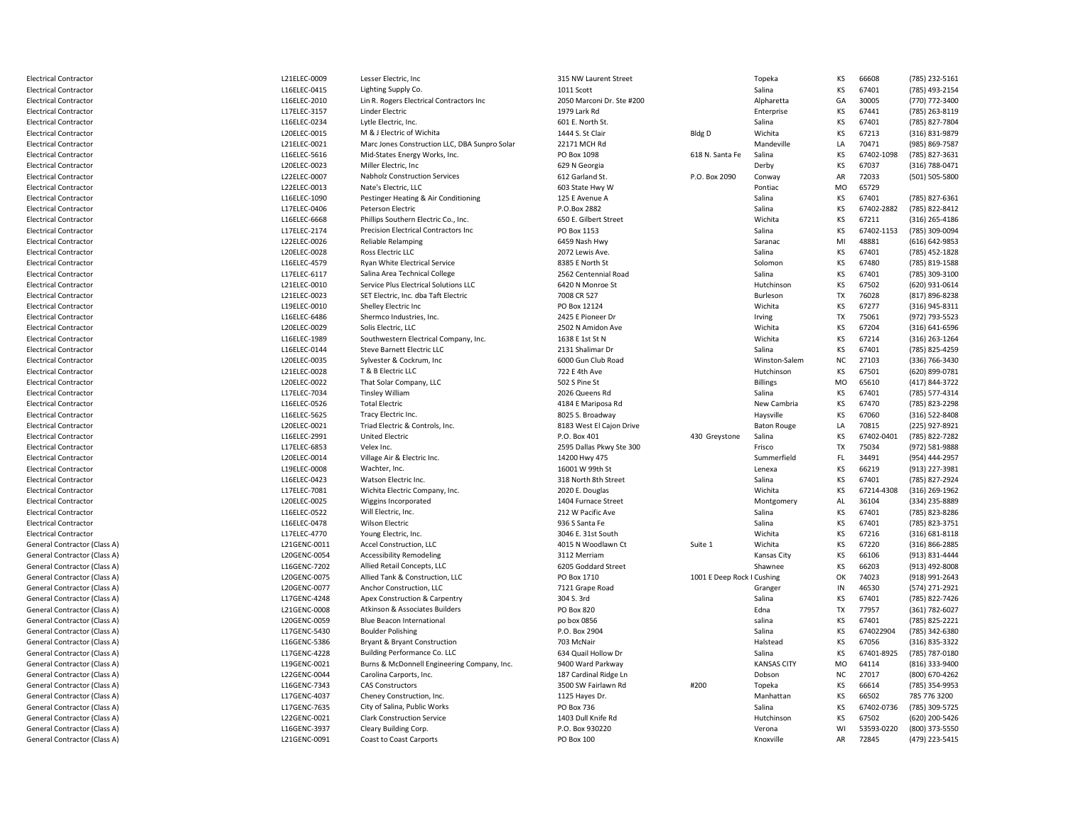| <b>Electrical Contractor</b>        | L21ELEC-0009 | Lesser Electric, Inc                          | 315 NW Laurent Street     |                            | Topeka             | KS             | 66608      | (785) 232-5161 |
|-------------------------------------|--------------|-----------------------------------------------|---------------------------|----------------------------|--------------------|----------------|------------|----------------|
| <b>Electrical Contractor</b>        | L16ELEC-0415 | Lighting Supply Co.                           | 1011 Scott                |                            | Salina             | KS             | 67401      | (785) 493-2154 |
| <b>Electrical Contractor</b>        | L16ELEC-2010 | Lin R. Rogers Electrical Contractors Inc      | 2050 Marconi Dr. Ste #200 |                            | Alpharetta         | GA             | 30005      | (770) 772-3400 |
| <b>Electrical Contractor</b>        | L17ELEC-3157 | <b>Linder Electric</b>                        | 1979 Lark Rd              |                            | Enterprise         | KS             | 67441      | (785) 263-8119 |
| <b>Electrical Contractor</b>        | L16ELEC-0234 | Lytle Electric, Inc.                          | 601 E. North St.          |                            | Salina             | KS             | 67401      | (785) 827-7804 |
| <b>Electrical Contractor</b>        | L20ELEC-0015 | M & J Electric of Wichita                     | 1444 S. St Clair          | Bldg D                     | Wichita            | KS             | 67213      | (316) 831-9879 |
| Electrical Contractor               | L21ELEC-0021 | Marc Jones Construction LLC, DBA Sunpro Solar | 22171 MCH Rd              |                            | Mandeville         | LA             | 70471      | (985) 869-7587 |
| <b>Electrical Contractor</b>        | L16ELEC-5616 | Mid-States Energy Works, Inc.                 | PO Box 1098               | 618 N. Santa Fe            | Salina             | KS             | 67402-1098 | (785) 827-3631 |
| <b>Electrical Contractor</b>        | L20ELEC-0023 | Miller Electric, Inc.                         | 629 N Georgia             |                            | Derby              | KS             | 67037      | (316) 788-0471 |
|                                     | L22ELEC-0007 |                                               |                           | P.O. Box 2090              |                    | AR             | 72033      |                |
| <b>Electrical Contractor</b>        |              | <b>Nabholz Construction Services</b>          | 612 Garland St.           |                            | Conway             |                |            | (501) 505-5800 |
| <b>Electrical Contractor</b>        | L22ELEC-0013 | Nate's Electric, LLC                          | 603 State Hwy W           |                            | Pontiac            | M <sub>O</sub> | 65729      |                |
| Electrical Contractor               | L16ELEC-1090 | Pestinger Heating & Air Conditioning          | 125 E Avenue A            |                            | Salina             | KS             | 67401      | (785) 827-6361 |
| <b>Electrical Contractor</b>        | L17ELEC-0406 | <b>Peterson Electric</b>                      | P.O.Box 2882              |                            | Salina             | KS             | 67402-2882 | (785) 822-8412 |
| <b>Electrical Contractor</b>        | L16ELEC-6668 | Phillips Southern Electric Co., Inc.          | 650 E. Gilbert Street     |                            | Wichita            | KS             | 67211      | (316) 265-4186 |
| <b>Electrical Contractor</b>        | L17ELEC-2174 | Precision Electrical Contractors Inc          | PO Box 1153               |                            | Salina             | KS             | 67402-1153 | (785) 309-0094 |
| <b>Electrical Contractor</b>        | L22ELEC-0026 | <b>Reliable Relamping</b>                     | 6459 Nash Hwy             |                            | Saranac            | MI             | 48881      | (616) 642-9853 |
| Electrical Contractor               | L20ELEC-0028 | Ross Electric LLC                             | 2072 Lewis Ave.           |                            | Salina             | KS             | 67401      | (785) 452-1828 |
| <b>Electrical Contractor</b>        | L16ELEC-4579 | Ryan White Electrical Service                 | 8385 E North St           |                            | Solomon            | KS             | 67480      | (785) 819-1588 |
| <b>Electrical Contractor</b>        | L17ELEC-6117 | Salina Area Technical College                 | 2562 Centennial Road      |                            | Salina             | KS             | 67401      | (785) 309-3100 |
| <b>Electrical Contractor</b>        | L21ELEC-0010 | Service Plus Electrical Solutions LLC         | 6420 N Monroe St          |                            | Hutchinson         | KS             | 67502      | (620) 931-0614 |
| <b>Electrical Contractor</b>        | L21ELEC-0023 | SET Electric, Inc. dba Taft Electric          | 7008 CR 527               |                            | Burleson           | <b>TX</b>      | 76028      | (817) 896-8238 |
| Electrical Contractor               | L19ELEC-0010 | Shelley Electric Inc                          | PO Box 12124              |                            | Wichita            | KS             | 67277      | (316) 945-8311 |
| <b>Electrical Contractor</b>        | L16ELEC-6486 | Shermco Industries, Inc.                      | 2425 E Pioneer Dr         |                            | Irving             | TX             | 75061      | (972) 793-5523 |
| Electrical Contractor               | L20ELEC-0029 | Solis Electric. LLC                           | 2502 N Amidon Ave         |                            | Wichita            | KS             | 67204      | (316) 641-6596 |
| <b>Electrical Contractor</b>        | L16ELEC-1989 | Southwestern Electrical Company, Inc.         | 1638 E 1st St N           |                            | Wichita            | KS             | 67214      | (316) 263-1264 |
| <b>Electrical Contractor</b>        | L16ELEC-0144 | Steve Barnett Electric LLC                    | 2131 Shalimar Dr          |                            | Salina             | KS             | 67401      | (785) 825-4259 |
| <b>Electrical Contractor</b>        | L20ELEC-0035 | Sylvester & Cockrum, Inc.                     | 6000 Gun Club Road        |                            | Winston-Salem      | ΝC             | 27103      | (336) 766-3430 |
| <b>Electrical Contractor</b>        | L21ELEC-0028 | T & B Electric LLC                            | 722 E 4th Ave             |                            | Hutchinson         | KS             | 67501      | (620) 899-0781 |
| <b>Electrical Contractor</b>        | L20ELEC-0022 |                                               | 502 S Pine St             |                            |                    | <b>MO</b>      | 65610      |                |
|                                     |              | That Solar Company, LLC                       |                           |                            | <b>Billings</b>    |                |            | (417) 844-3722 |
| <b>Electrical Contractor</b>        | L17ELEC-7034 | <b>Tinsley William</b>                        | 2026 Queens Rd            |                            | Salina             | KS             | 67401      | (785) 577-4314 |
| <b>Electrical Contractor</b>        | L16ELEC-0526 | <b>Total Electric</b>                         | 4184 E Mariposa Rd        |                            | New Cambria        | KS             | 67470      | (785) 823-2298 |
| <b>Electrical Contractor</b>        | L16ELEC-5625 | Tracy Electric Inc.                           | 8025 S. Broadway          |                            | Haysville          | KS             | 67060      | (316) 522-8408 |
| <b>Electrical Contractor</b>        | L20ELEC-0021 | Triad Electric & Controls, Inc.               | 8183 West El Cajon Drive  |                            | <b>Baton Rouge</b> | LA             | 70815      | (225) 927-8921 |
| <b>Electrical Contractor</b>        | L16ELEC-2991 | <b>United Electric</b>                        | P.O. Box 401              | 430 Greystone              | Salina             | KS             | 67402-0401 | (785) 822-7282 |
| <b>Electrical Contractor</b>        | L17ELEC-6853 | Velex Inc.                                    | 2595 Dallas Pkwy Ste 300  |                            | Frisco             | <b>TX</b>      | 75034      | (972) 581-9888 |
| <b>Electrical Contractor</b>        | L20ELEC-0014 | Village Air & Electric Inc.                   | 14200 Hwy 475             |                            | Summerfield        | FL.            | 34491      | (954) 444-2957 |
| <b>Electrical Contractor</b>        | L19ELEC-0008 | Wachter, Inc.                                 | 16001 W 99th St           |                            | Lenexa             | KS             | 66219      | (913) 227-3981 |
| <b>Electrical Contractor</b>        | L16ELEC-0423 | Watson Electric Inc.                          | 318 North 8th Street      |                            | Salina             | KS             | 67401      | (785) 827-2924 |
| <b>Electrical Contractor</b>        | L17ELEC-7081 | Wichita Electric Company, Inc.                | 2020 E. Douglas           |                            | Wichita            | KS             | 67214-4308 | (316) 269-1962 |
| <b>Electrical Contractor</b>        | L20ELEC-0025 | Wiggins Incorporated                          | 1404 Furnace Street       |                            | Montgomery         | AL             | 36104      | (334) 235-8889 |
| Electrical Contractor               | L16ELEC-0522 | Will Electric, Inc.                           | 212 W Pacific Ave         |                            | Salina             | KS             | 67401      | (785) 823-8286 |
| Electrical Contractor               | L16ELEC-0478 | <b>Wilson Electric</b>                        | 936 S Santa Fe            |                            | Salina             | KS             | 67401      | (785) 823-3751 |
| <b>Electrical Contractor</b>        | L17ELEC-4770 | Young Electric, Inc.                          | 3046 E. 31st South        |                            | Wichita            | KS             | 67216      | (316) 681-8118 |
| <b>General Contractor (Class A)</b> | L21GENC-0011 | Accel Construction, LLC                       | 4015 N Woodlawn Ct        | Suite 1                    | Wichita            | KS             | 67220      | (316) 866-2885 |
| General Contractor (Class A)        | L20GENC-0054 | <b>Accessibility Remodeling</b>               | 3112 Merriam              |                            | Kansas City        | KS             | 66106      | (913) 831-4444 |
| General Contractor (Class A)        | L16GENC-7202 | Allied Retail Concepts, LLC                   | 6205 Goddard Street       |                            | Shawnee            | KS             | 66203      | (913) 492-8008 |
| General Contractor (Class A)        | L20GENC-0075 | Allied Tank & Construction, LLC               | PO Box 1710               | 1001 E Deep Rock I Cushing |                    | OK             | 74023      | (918) 991-2643 |
| General Contractor (Class A)        | L20GENC-0077 | Anchor Construction, LLC                      | 7121 Grape Road           |                            | Granger            | $\mathsf{IN}$  | 46530      | (574) 271-2921 |
| <b>General Contractor (Class A)</b> | L17GENC-4248 | Apex Construction & Carpentry                 | 304 S. 3rd                |                            | Salina             | KS             | 67401      | (785) 822-7426 |
| General Contractor (Class A)        | L21GENC-0008 | Atkinson & Associates Builders                | <b>PO Box 820</b>         |                            | Edna               | TX             | 77957      | (361) 782-6027 |
|                                     |              |                                               |                           |                            |                    |                |            |                |
| General Contractor (Class A)        | L20GENC-0059 | <b>Blue Beacon International</b>              | po box 0856               |                            | salina             | KS             | 67401      | (785) 825-2221 |
| General Contractor (Class A)        | L17GENC-5430 | <b>Boulder Polishing</b>                      | P.O. Box 2904             |                            | Salina             | KS             | 674022904  | (785) 342-6380 |
| General Contractor (Class A)        | L16GENC-5386 | Bryant & Bryant Construction                  | 703 McNair                |                            | Halstead           | KS             | 67056      | (316) 835-3322 |
| General Contractor (Class A)        | L17GENC-4228 | Building Performance Co. LLC                  | 634 Quail Hollow Dr       |                            | Salina             | KS             | 67401-8925 | (785) 787-0180 |
| General Contractor (Class A)        | L19GENC-0021 | Burns & McDonnell Engineering Company, Inc.   | 9400 Ward Parkway         |                            | <b>KANSAS CITY</b> | M <sub>O</sub> | 64114      | (816) 333-9400 |
| <b>General Contractor (Class A)</b> | L22GENC-0044 | Carolina Carports, Inc.                       | 187 Cardinal Ridge Ln     |                            | Dobson             | NC             | 27017      | (800) 670-4262 |
| <b>General Contractor (Class A)</b> | L16GENC-7343 | <b>CAS Constructors</b>                       | 3500 SW Fairlawn Rd       | #200                       | Topeka             | KS             | 66614      | (785) 354-9953 |
| General Contractor (Class A)        | L17GENC-4037 | Cheney Construction, Inc.                     | 1125 Hayes Dr.            |                            | Manhattan          | KS             | 66502      | 785 776 3200   |
| General Contractor (Class A)        | L17GENC-7635 | City of Salina, Public Works                  | PO Box 736                |                            | Salina             | KS             | 67402-0736 | (785) 309-5725 |
| General Contractor (Class A)        | L22GENC-0021 | <b>Clark Construction Service</b>             | 1403 Dull Knife Rd        |                            | Hutchinson         | KS             | 67502      | (620) 200-5426 |
| General Contractor (Class A)        | L16GENC-3937 | Cleary Building Corp.                         | P.O. Box 930220           |                            | Verona             | WI             | 53593-0220 | (800) 373-5550 |
| <b>General Contractor (Class A)</b> | L21GENC-0091 | Coast to Coast Carports                       | PO Box 100                |                            | Knoxville          | AR             | 72845      | (479) 223-5415 |
|                                     |              |                                               |                           |                            |                    |                |            |                |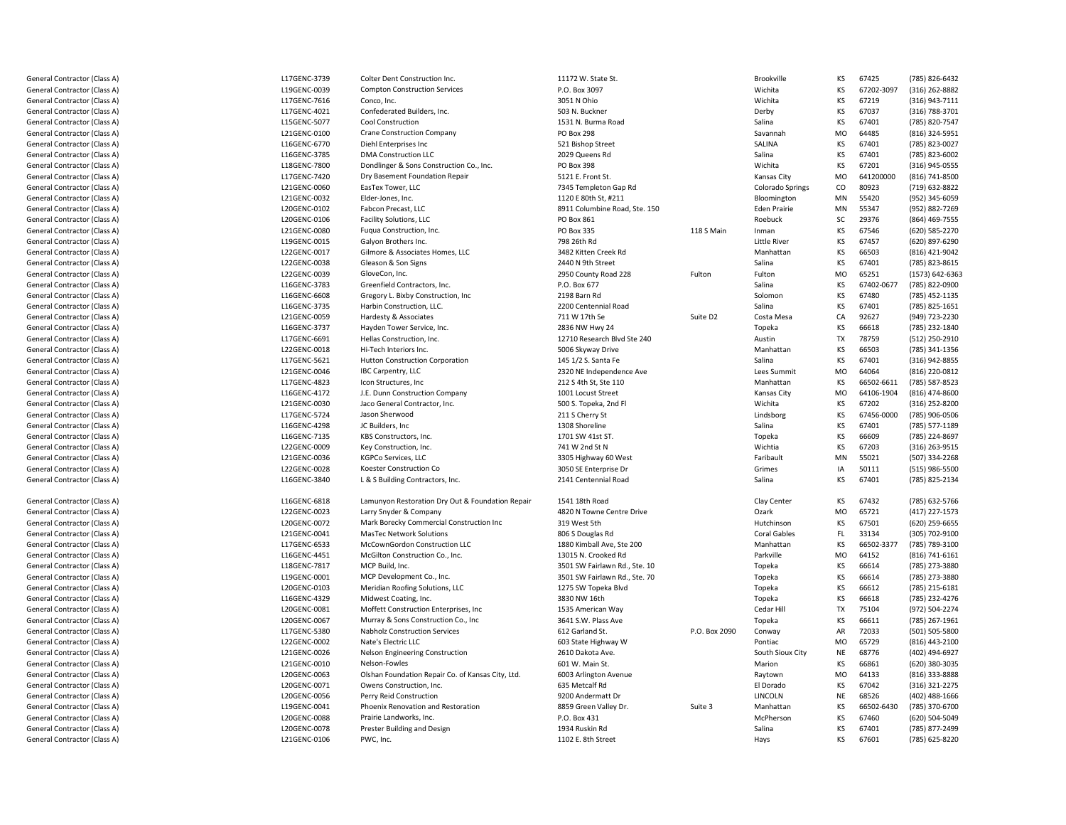General Contractor (Class A)General Contractor (Class A)General Contractor (Class A)General Contractor (Class A)General Contractor (Class A)General Contractor (Class A)General Contractor (Class A)General Contractor (Class A)General Contractor (Class A)General Contractor (Class A)General Contractor (Class A)General Contractor (Class A)General Contractor (Class A)General Contractor (Class A)General Contractor (Class A)General Contractor (Class A)General Contractor (Class A)General Contractor (Class A)General Contractor (Class A)General Contractor (Class A)General Contractor (Class A)General Contractor (Class A)General Contractor (Class A)General Contractor (Class A)General Contractor (Class A)General Contractor (Class A)General Contractor (Class A)General Contractor (Class A)General Contractor (Class A)General Contractor (Class A)General Contractor (Class A)General Contractor (Class A)General Contractor (Class A)General Contractor (Class A)General Contractor (Class A)General Contractor (Class A)General Contractor (Class A)General Contractor (Class A)General Contractor (Class A)General Contractor (Class A)General Contractor (Class A)General Contractor (Class A)

General Contractor (Class A)

General Contractor (Class A)

General Contractor (Class A)

General Contractor (Class A)

General Contractor (Class A)

General Contractor (Class A)

General Contractor (Class A)

General Contractor (Class A)

General Contractor (Class A)

General Contractor (Class A)

General Contractor (Class A)

General Contractor (Class A)

General Contractor (Class A)

General Contractor (Class A)

General Contractor (Class A)

General Contractor (Class A)

General Contractor (Class A)

General Contractor (Class A)

General Contractor (Class A)

 L17GENC3739 Colter Dent Construction Inc. 11172 W. State St. Brookville KS <sup>67425</sup> (785) 8266432 L19GENC-0039 Compton Construction Services P.O. Box 3097 Wichita KS 672023097 (316) 2628882 L17GENC-7616 6 Conco, Inc. 2051 N Ohio Wichita KS <sup>67219</sup> (316) 9437111 L17GENC4021 Confederated Builders, Inc. 503 N. Buckner Derby KS <sup>67037</sup> (316) 7883701 L15GENC5077Cool Construction<br>
Crane Construction Company<br>
Crane Construction Company<br>
Conservant Company<br>
Conservant Politics 208 Salina KS <sup>67401</sup> (785) 8207547 L21GENC-0100 Crane Construction Company **Canadia Crane Construction Company** PO Box 298 Savannahas Savannahas SAIINA<br>Diehl Enterorises Inc MO<br>KS 64485 (816) 324-5951<br>67401 (785) 823-0027 L16GENC6770 Diehl Enterprises Inc 521 Bishop Street SALINA KS <sup>67401</sup> (785) 8230027 L16GENC3785DMA Construction LLC 2029 Queens Rd<br>PO Box 398 Salina KS <sup>67401</sup> (785) 8236002 L18GENC-7800 Dondlinger & Sons Construction Co., Inc. **PO Box 398** PO Box 398 Wichita KS 67201 (316) 945-0555<br>
Dry Basement Foundation Repair **Formation Construction Construction** Canal Extension Construction Co., Inc. Assoc L17GENC-7420 Dry Basement Foundation Repair **1988** S121 E. Front St. **Communist Communist Communist Communist Communist Communist Communist Communist Communist Communist Communist Communist Communist Communist Communist Communist Commu** 641200000 (816) 741-8500<br>80923 (719) 632-8822 L21GENC-0060 EasTex Tower, LLC<br>Elder-Jones, Inc. 7345 Templeton Gap RdColorado Springs<br>Bloomington 80923 (719) 632-8822<br>55420 (952) 345-6059 L21GENC-0032 2 Elder-Jones, Inc. 2012 COME 2012 COME 2014 1120 E 80th St, #211 Bloomington Bloomington Bloomington MN<br>Eden Prairie MN 55420 (952) 345-6059<br>55347 (952) 882-7269 L20GENC-0102 Fabcon Precast, LLC8911 Columbine Road, Ste. 150 **Eden Prairie** MN<br>PO Box 861 **Eden Prairie SC** 55347 (952) 882-7269<br>29376 (864) 469-7555 L20GENC-0106 Facility Solutions, LLCC C Roebuck SC Roebuck SC Roebuck SC Roebuck SC Roebuck SC Roebuck SC Roebuck SC Roebuck SC Roebuck SC Roebuck SC Roebuck SC Roebuck SC Roebuck SC Roebuck SC Roebuck SC Roebuck SC Roebuck SC Roebuck SC Roebuck SC Roebuck S SC 29376 (864) 469-7555<br>KS 67546 (620) 585-2270 L21GENC-0080 Fuqua Construction, Inc. PO Box 335 118 S Main Inman KS <sup>67546</sup> (620) 5852270 L19GENC-0015 Galyon Brothers Inc. Little River KS <sup>67457</sup> (620) 8976290 L22GENC-0017 Gilmore & Associates Homes, LLC<br>Gleason & Son Signs 3482 Kitten Creek Rd<br>2440 N 9th Street d Manhattan KS 66503 (816) 421-9042 L22GENC-0038 8 Gleason & Son Signs 23-8615 (785) 823-8615 (785) 823-8615 (846) 834-961 (785) 823-8615 (856) 823-8615 (856) 823-8615 L22GENC-0039 GloveCon, Inc. 2950 County Road 228 Fultonn Fulton MO MO 65251 (1573) 642-6363<br>KS 67402-0677 (785) 822-0900 L16GENC-3783 Greenfield Contractors, Inc. No. 2008 Contractors, Inc. No. 2014 Contractors, Inc. Salina KS 67402-0677 (785) 822-0900 L16GENC-6608 Gregory L. Bixby Construction, Inc **2198 Barn Rd**<br>
Harbin Construction, LLC 2200 Centennial Road Solomon KS <sup>67480</sup> (785) 4521135 L16GENC3735Harbin Construction, LLC.<br>
Hardesty & Associates<br>
2211 W 17th Se Salina KS <sup>67401</sup> (785) 8251651 L21GENC-0059 Hardesty & Associates 711 W 17th Se Suite D2 Costa Mesa CACA 92627 (949) 723-2230<br>KS 66618 (785) 232-1840 L16GENC-3737 Hayden Tower Service, Inc. 2836 NW Hwy 24 Topeka KS <sup>66618</sup> (785) 2321840 L17GENC6691 Hellas Construction, Inc. 12710 Research Blvd Ste 240 AustinTX 78759 (512) 250-2910<br>KS 66503 (785) 341-1356 L22GENC-0018 8 Hi-Tech Interiors Inc. (a) the Supervisor of Supervisors of Styway Drive Manhattan Manhattan KS 66503 (785) 341-1356<br>KS 67401 (316) 942-8855 L17GENC-5621 1 Hutton Construction Corporation 145 1/2 S. Santa Fe Salina KS 67401 (316) 942-8855 L21GENC-0046 IBC Carpentry, LLC<br>Icon Structures, Inc 2320 NE Independence Ave Lees Summit MO<br>212 S 4th St Ste 110 64064 (816) 220-0812<br>66502-6611 (785) 587-8523 L17GENC4823Part 212 S 4th St, Ste 110 Manhattan<br>
1001 Locust Street Mansas City KS 66502-6611 (785) 587-8523<br>MO 64106-1904 (816) 474-8600 L16GENC4172J.E. Dunn Construction Company 1001 Locust Street 1. 1999 1001 Locust Street 1. 1999 1001 Locust Street 1. 199<br>Jaco General Contractor, Inc. 1999 1. 1999 1. 1999 1. 1999 1. 1999 1. 1999 1. 1999 1. 1999 1. 1999 1. 1999 1. 64106-1904 (816) 474-8600<br>67202 (316) 252-8200 L21GENC-0030 Jaco General Contractor, Inc. 500 S. Topeka, 2nd Fl Wichita KS <sup>67202</sup> (316) 2528200 L17GENC-5724 4 Jason Sherwood 211 S Cherry St Lindsborg Lindsborg KS 67456-0000 (785) 906-0506 L16GENC-4298 8 JC Builders, Inc 1785) 577-1189 (785) 577-1189 (785) 577-1189 (1308 Shoreline Salina Salina KS 67401 (785) 577-1189 L16GENC-7135 5 KBS Constructors, Inc. 1701 SW 41st ST. The State of the State of Topeka KS 66609 (785) 224-8697 L22GENC-0009 Key Construction, Inc. 241 W 2nd St N N Wichtia KS 67203 (316) 263-9515 L21GENC-0036 KGPCo Services, LLC3305 Highway 60 West Faribault Faribault MN MN 9050 SE Enterprise Dr Faribault And MN 9050 SE Enterprise Dr Fa <sup>55021</sup> (507) 3342268 L22GENC-0028 Koester Construction Co 3050 SE Enterprise Dr Grimes IA1A 50111 (515) 986-5500<br>KS 67401 (785) 825-2134 L16GENC-3840 L & S Building Contractors, Inc. 2141 Centennial RoadSalina KS 67401 (785) 825-2134 L16GENC-6818 Lamunyon Restoration Dry Out & Foundation Repair 1541 18th Road<br>Larry Snyder & Company 16th Road 1820 N Towne Centre Drive d Clay Center KS 67432 (785) 632-5766 L22GENC-0023 Larry Snyder & Company 1992 (ASSEM) ASSOCIATED MONOULLARY COMPANY ASSOCIATED MONOULLARY COMPANY CONTROLLARY MO<br>1999 Mark Borecky Commercial Construction Inc 1999 (ASSEM) Associated by Monot Sth 65721 (417) 227-1573<br>67501 (620) 259-6655 L20GENC-0072 Mark Borecky Commercial Construction Inc 319 West 5th<br>MasTec Network Solutions 806 S Douglas Rd h Hutchinson KS 67501 (620) 259-6655 L21GENC-0041 MasTec Network Solutions<br>McCownGordon Construction LLC and Booking and Band McCownGordon Construction LLC d Coral Gables FL 33134 (305) 702-9100 L17GENC-6533 McCownGordon Construction LLC<br>
1880 Kimball Ave, Ste 200<br>
1991 Manhattan McGilton Construction Co., Inc. 1991 Manhattan 1992 1994 Manhattan 1996 KS 66502-3377 (785) 789-3100<br>MO 64152 (816) 741-6161 L16GENC4451McGilton Construction Co., Inc. 13015 N. Crooked Rd<br>MCP Build. Inc. 13501 SW Fairlawn Rd.. Ste. 10 d MO MO 64152 (816) 741-6161<br>KS 66614 (785) 273-3880 L18GENC-7817 MCP Build, Inc. 3501 SW Fairlawn Rd., Ste. 10 Topeka KS <sup>66614</sup> (785) 2733880 L19GENC-0001 MCP Development Co., Inc. (785) 273-3880 (3501 SW Fairlawn Rd., Ste. 70 Topeka KS 66614 (785) 273-3880 (785) 273-3880<br>Meridian Roofing Solutions. LLC (785) 215-6181 (785) 215-6181 L20GENC-0103 Meridian Roofing Solutions, LLC 1275 SW Topeka Blvd Topeka KS <sup>66612</sup> (785) 2156181 L16GENC4329Midwest Coating, Inc. 3830 NW 16th<br>Moffett Construction Enterprises, Inc 3535 American Way Topeka KS <sup>66618</sup> (785) 2324276 L20GENC-0081 Moffett Construction Enterprises, Inc **1535 American Way Cedar Hill Construction Enterprises, Inc** 1535 American Way Cedar Hill TX<br>1541 S.M. Plass Ave **Construction Co., Inc** 1535 American Way Plass Ave Topeka 75104 (972) 504-2274<br>66611 (785) 267-1961 L20GENC-0067 Murray & Sons Construction Co., Inc 3641 S.W. Plass Ave Topeka KS <sup>66611</sup> (785) 2671961 L17GENC-5380 0 Nabholz Construction Services **612 Garland St.** P.O. Box 2090 Conway AR AR 72033 (501) 505-5800<br>MO 65729 (816) 443-2100 L22GENC-0002 Nate's Electric LLC 603 State Highway W Pontiac MO <sup>65729</sup> (816) 4432100 L21GENC-0026 Nelson Engineering Construction 2610 Dakota Ave. South Sioux City NE <sup>68776</sup> (402) 4946927 L21GENC-0010 0 Melson-Fowles **601 W. Main St.** Communication Communication Communication Marion KS <sup>66861</sup> (620) 3803035 L20GENC-0063 Olshan Foundation Repair Co. of Kansas City, Ltd. 6003 Arlington Avenue 1997 1998 Raytown<br>Owens Construction. Inc. 6003 Aretcalf Rd 6003 Artical Rd n MO MO 64133 (816) 333-8888<br>KS 67042 (316) 321-2275 L20GENC-0071 Owens Construction, Inc. 635 Metcalf Rd<br>
Perry Reid Construction<br>
9200 Andermatt Dr El Dorado KS <sup>67042</sup> (316) 3212275 L20GENC-0056 Perry Reid Construction 9200 Andermatt Dr LINCOLNLINCOLN **NE** 68526 (402) 488-1666<br>Manhattan KS 66502-6430 (785) 370-6700 L19GENC-0041 Phoenix Renovation and Restoration **8859 Green Valley Dr.** Suite 3 Manhattan 8859 Green Valley Dr. Suite 3 Manhattan McPherson KS 66502-6430 (785) 370-6700<br>KS 67460 (620) 504-5049 L20GENC-0088 Prairie Landworks, Inc.<br>
Prester Building and Design<br>
Prester Building and Design<br>
Salina KS 67460 (620) 504-5049<br>KS 67401 (785) 877-2499 L20GENC-0078 Prester Building and Design and the state of the 1934 Ruskin Rd<br>PWC, Inc. 1934 Ruskin Rd 2022 d Contract Contract Contract Contract Contract Contract Contract Contract Contract Contract Contract Contract Contract Contract Contract Contract Contract Contract Contract Contract Contract Contract Contract Contract Cont L21GENC-0106 6 PWC, Inc. 1102 E. 8th Street Hays Hays KS 67601 (785) 625-8220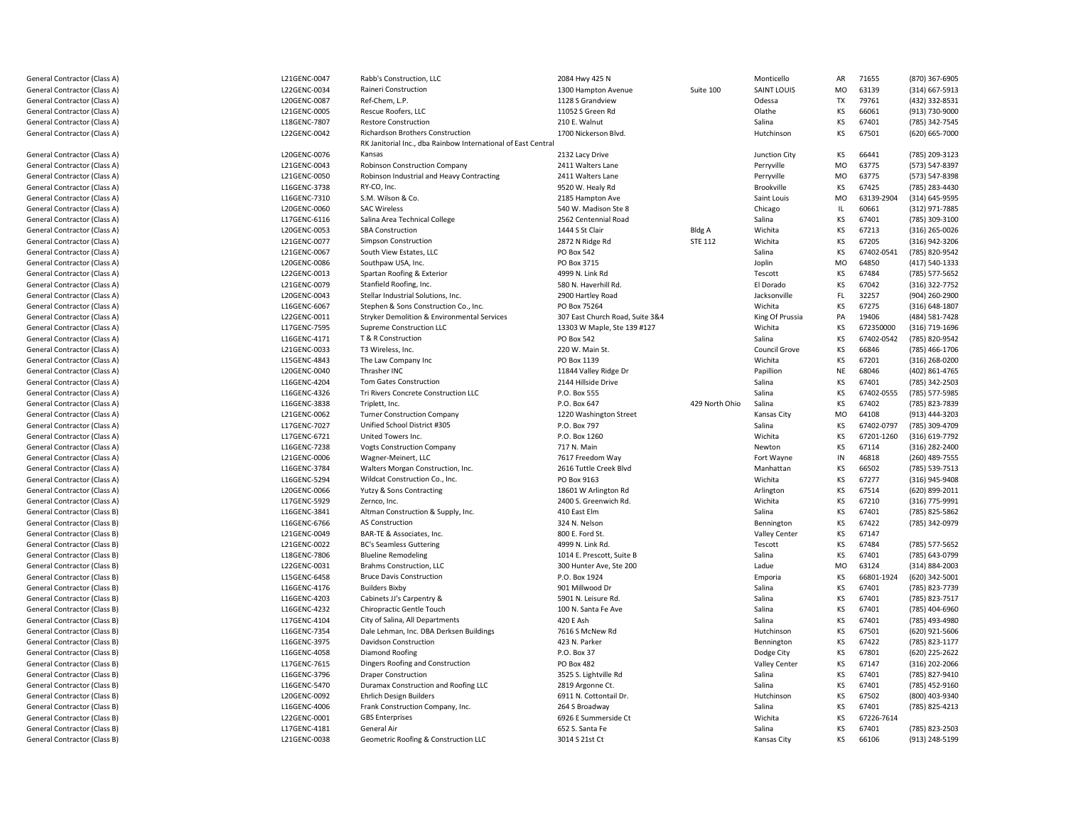| General Contractor (Class A)        | L21GENC-0047 | Rabb's Construction, LLC                                      | 2084 Hwy 425 N                  |                | Monticello           | AR             | 71655      | (870) 367-6905 |
|-------------------------------------|--------------|---------------------------------------------------------------|---------------------------------|----------------|----------------------|----------------|------------|----------------|
| General Contractor (Class A)        | L22GENC-0034 | Raineri Construction                                          | 1300 Hampton Avenue             | Suite 100      | <b>SAINT LOUIS</b>   | MO             | 63139      | (314) 667-5913 |
| General Contractor (Class A)        | L20GENC-0087 | Ref-Chem, L.P.                                                | 1128 S Grandview                |                | Odessa               | TX             | 79761      | (432) 332-8531 |
| General Contractor (Class A)        | L21GENC-0005 | Rescue Roofers, LLC                                           | 11052 S Green Rd                |                | Olathe               | KS             | 66061      | (913) 730-9000 |
| General Contractor (Class A)        | L18GENC-7807 | <b>Restore Construction</b>                                   | 210 E. Walnut                   |                | Salina               | KS             | 67401      | (785) 342-7545 |
| General Contractor (Class A)        | L22GENC-0042 | Richardson Brothers Construction                              | 1700 Nickerson Blvd.            |                | Hutchinson           | KS             | 67501      | (620) 665-7000 |
|                                     |              | RK Janitorial Inc., dba Rainbow International of East Central |                                 |                |                      |                |            |                |
| General Contractor (Class A)        | L20GENC-0076 | Kansas                                                        | 2132 Lacy Drive                 |                | Junction City        | KS             | 66441      | (785) 209-3123 |
| General Contractor (Class A)        | L21GENC-0043 | Robinson Construction Company                                 | 2411 Walters Lane               |                | Perryville           | M <sub>O</sub> | 63775      | (573) 547-8397 |
| General Contractor (Class A)        | L21GENC-0050 | Robinson Industrial and Heavy Contracting                     | 2411 Walters Lane               |                | Perryville           | <b>MO</b>      | 63775      | (573) 547-8398 |
| General Contractor (Class A)        | L16GENC-3738 | RY-CO, Inc.                                                   | 9520 W. Healy Rd                |                | Brookville           | KS             | 67425      | (785) 283-4430 |
| General Contractor (Class A)        | L16GENC-7310 | S.M. Wilson & Co.                                             | 2185 Hampton Ave                |                | Saint Louis          | MO             | 63139-2904 | (314) 645-9595 |
| General Contractor (Class A)        | L20GENC-0060 | <b>SAC Wireless</b>                                           | 540 W. Madison Ste 8            |                | Chicago              | IL.            | 60661      | (312) 971-7885 |
| General Contractor (Class A)        | L17GENC-6116 | Salina Area Technical College                                 | 2562 Centennial Road            |                | Salina               | KS             | 67401      | (785) 309-3100 |
| General Contractor (Class A)        | L20GENC-0053 | <b>SBA Construction</b>                                       | 1444 S St Clair                 | Bldg A         | Wichita              | KS             | 67213      | (316) 265-0026 |
| General Contractor (Class A)        | L21GENC-0077 | <b>Simpson Construction</b>                                   | 2872 N Ridge Rd                 | <b>STE 112</b> | Wichita              | KS             | 67205      | (316) 942-3206 |
| General Contractor (Class A)        | L21GENC-0067 | South View Estates, LLC                                       | <b>PO Box 542</b>               |                | Salina               | KS             | 67402-0541 | (785) 820-9542 |
| General Contractor (Class A)        | L20GENC-0086 | Southpaw USA, Inc.                                            | PO Box 3715                     |                | Joplin               | MO             | 64850      | (417) 540-1333 |
|                                     |              | Spartan Roofing & Exterior                                    |                                 |                |                      | KS             | 67484      |                |
| General Contractor (Class A)        | L22GENC-0013 |                                                               | 4999 N. Link Rd                 |                | Tescott              |                |            | (785) 577-5652 |
| General Contractor (Class A)        | L21GENC-0079 | Stanfield Roofing, Inc.                                       | 580 N. Haverhill Rd.            |                | El Dorado            | KS<br>FL.      | 67042      | (316) 322-7752 |
| General Contractor (Class A)        | L20GENC-0043 | Stellar Industrial Solutions, Inc.                            | 2900 Hartley Road               |                | Jacksonville         |                | 32257      | (904) 260-2900 |
| General Contractor (Class A)        | L16GENC-6067 | Stephen & Sons Construction Co., Inc.                         | PO Box 75264                    |                | Wichita              | KS             | 67275      | (316) 648-1807 |
| General Contractor (Class A)        | L22GENC-0011 | <b>Stryker Demolition &amp; Environmental Services</b>        | 307 East Church Road, Suite 3&4 |                | King Of Prussia      | PA             | 19406      | (484) 581-7428 |
| General Contractor (Class A)        | L17GENC-7595 | Supreme Construction LLC                                      | 13303 W Maple, Ste 139 #127     |                | Wichita              | KS             | 672350000  | (316) 719-1696 |
| General Contractor (Class A)        | L16GENC-4171 | T & R Construction                                            | PO Box 542                      |                | Salina               | KS             | 67402-0542 | (785) 820-9542 |
| General Contractor (Class A)        | L21GENC-0033 | T3 Wireless, Inc.                                             | 220 W. Main St.                 |                | Council Grove        | KS             | 66846      | (785) 466-1706 |
| General Contractor (Class A)        | L15GENC-4843 | The Law Company Inc                                           | PO Box 1139                     |                | Wichita              | KS             | 67201      | (316) 268-0200 |
| General Contractor (Class A)        | L20GENC-0040 | Thrasher INC                                                  | 11844 Valley Ridge Dr           |                | Papillion            | <b>NE</b>      | 68046      | (402) 861-4765 |
| General Contractor (Class A)        | L16GENC-4204 | Tom Gates Construction                                        | 2144 Hillside Drive             |                | Salina               | KS             | 67401      | (785) 342-2503 |
| General Contractor (Class A)        | L16GENC-4326 | Tri Rivers Concrete Construction LLC                          | P.O. Box 555                    |                | Salina               | KS             | 67402-0555 | (785) 577-5985 |
| General Contractor (Class A)        | L16GENC-3838 | Triplett, Inc.                                                | P.O. Box 647                    | 429 North Ohio | Salina               | KS             | 67402      | (785) 823-7839 |
| General Contractor (Class A)        | L21GENC-0062 | <b>Turner Construction Company</b>                            | 1220 Washington Street          |                | Kansas City          | MO             | 64108      | (913) 444-3203 |
| General Contractor (Class A)        | L17GENC-7027 | Unified School District #305                                  | P.O. Box 797                    |                | Salina               | KS             | 67402-0797 | (785) 309-4709 |
| General Contractor (Class A)        | L17GENC-6721 | United Towers Inc.                                            | P.O. Box 1260                   |                | Wichita              | KS             | 67201-1260 | (316) 619-7792 |
| General Contractor (Class A)        | L16GENC-7238 | <b>Vogts Construction Company</b>                             | 717 N. Main                     |                | Newton               | KS             | 67114      | (316) 282-2400 |
| General Contractor (Class A)        | L21GENC-0006 | Wagner-Meinert, LLC                                           | 7617 Freedom Way                |                | Fort Wayne           | IN             | 46818      | (260) 489-7555 |
| General Contractor (Class A)        | L16GENC-3784 | Walters Morgan Construction, Inc.                             | 2616 Tuttle Creek Blvd          |                | Manhattan            | KS             | 66502      | (785) 539-7513 |
| General Contractor (Class A)        | L16GENC-5294 | Wildcat Construction Co., Inc.                                | PO Box 9163                     |                | Wichita              | KS             | 67277      | (316) 945-9408 |
| General Contractor (Class A)        | L20GENC-0066 | Yutzy & Sons Contracting                                      | 18601 W Arlington Rd            |                | Arlington            | KS             | 67514      | (620) 899-2011 |
| General Contractor (Class A)        | L17GENC-5929 | Zernco, Inc.                                                  | 2400 S. Greenwich Rd.           |                | Wichita              | KS             | 67210      | (316) 775-9991 |
| General Contractor (Class B)        | L16GENC-3841 | Altman Construction & Supply, Inc.                            | 410 East Elm                    |                | Salina               | KS             | 67401      | (785) 825-5862 |
| <b>General Contractor (Class B)</b> | L16GENC-6766 | AS Construction                                               | 324 N. Nelson                   |                | Bennington           | KS             | 67422      | (785) 342-0979 |
| General Contractor (Class B)        | L21GENC-0049 | BAR-TE & Associates, Inc.                                     | 800 E. Ford St.                 |                | <b>Valley Center</b> | KS             | 67147      |                |
| General Contractor (Class B)        | L21GENC-0022 | <b>BC's Seamless Guttering</b>                                | 4999 N. Link Rd.                |                | Tescott              | KS             | 67484      | (785) 577-5652 |
| General Contractor (Class B)        | L18GENC-7806 | <b>Blueline Remodeling</b>                                    | 1014 E. Prescott, Suite B       |                | Salina               | KS             | 67401      | (785) 643-0799 |
| General Contractor (Class B)        | L22GENC-0031 | Brahms Construction, LLC                                      | 300 Hunter Ave, Ste 200         |                | Ladue                | MO             | 63124      | (314) 884-2003 |
| <b>General Contractor (Class B)</b> | L15GENC-6458 | <b>Bruce Davis Construction</b>                               | P.O. Box 1924                   |                | Emporia              | KS             | 66801-1924 | (620) 342-5001 |
| General Contractor (Class B)        | L16GENC-4176 | <b>Builders Bixby</b>                                         | 901 Millwood Dr                 |                | Salina               | KS             | 67401      | (785) 823-7739 |
| <b>General Contractor (Class B)</b> | L16GENC-4203 | Cabinets JJ's Carpentry &                                     | 5901 N. Leisure Rd.             |                | Salina               | KS             | 67401      | (785) 823-7517 |
| <b>General Contractor (Class B)</b> | L16GENC-4232 | Chiropractic Gentle Touch                                     | 100 N. Santa Fe Ave             |                | Salina               | KS             | 67401      | (785) 404-6960 |
| <b>General Contractor (Class B)</b> | L17GENC-4104 | City of Salina, All Departments                               | 420 E Ash                       |                | Salina               | KS             | 67401      | (785) 493-4980 |
| <b>General Contractor (Class B)</b> | L16GENC-7354 | Dale Lehman, Inc. DBA Derksen Buildings                       | 7616 S McNew Rd                 |                | Hutchinson           | KS             | 67501      | (620) 921-5606 |
| <b>General Contractor (Class B)</b> | L16GENC-3975 | Davidson Construction                                         | 423 N. Parker                   |                | Bennington           | KS             | 67422      | (785) 823-1177 |
| General Contractor (Class B)        | L16GENC-4058 | Diamond Roofing                                               | P.O. Box 37                     |                | Dodge City           | KS             | 67801      | (620) 225-2622 |
| <b>General Contractor (Class B)</b> | L17GENC-7615 | Dingers Roofing and Construction                              | PO Box 482                      |                | <b>Valley Center</b> | KS             | 67147      | (316) 202-2066 |
| General Contractor (Class B)        | L16GENC-3796 | <b>Draper Construction</b>                                    | 3525 S. Lightville Rd           |                | Salina               | KS             | 67401      | (785) 827-9410 |
| <b>General Contractor (Class B)</b> | L16GENC-5470 | Duramax Construction and Roofing LLC                          | 2819 Argonne Ct.                |                | Salina               | KS             | 67401      | (785) 452-9160 |
| General Contractor (Class B)        | L20GENC-0092 | Ehrlich Design Builders                                       | 6911 N. Cottontail Dr.          |                | Hutchinson           | KS             | 67502      | (800) 403-9340 |
| <b>General Contractor (Class B)</b> | L16GENC-4006 | Frank Construction Company, Inc.                              | 264 S Broadway                  |                | Salina               | KS             | 67401      | (785) 825-4213 |
| General Contractor (Class B)        | L22GENC-0001 | <b>GBS</b> Enterprises                                        | 6926 E Summerside Ct            |                | Wichita              | KS             | 67226-7614 |                |
| <b>General Contractor (Class B)</b> | L17GENC-4181 | General Air                                                   | 652 S. Santa Fe                 |                | Salina               | KS             | 67401      | (785) 823-2503 |
| <b>General Contractor (Class B)</b> | L21GENC-0038 | Geometric Roofing & Construction LLC                          | 3014 S 21st Ct                  |                | Kansas City          | KS             | 66106      | (913) 248-5199 |
|                                     |              |                                                               |                                 |                |                      |                |            |                |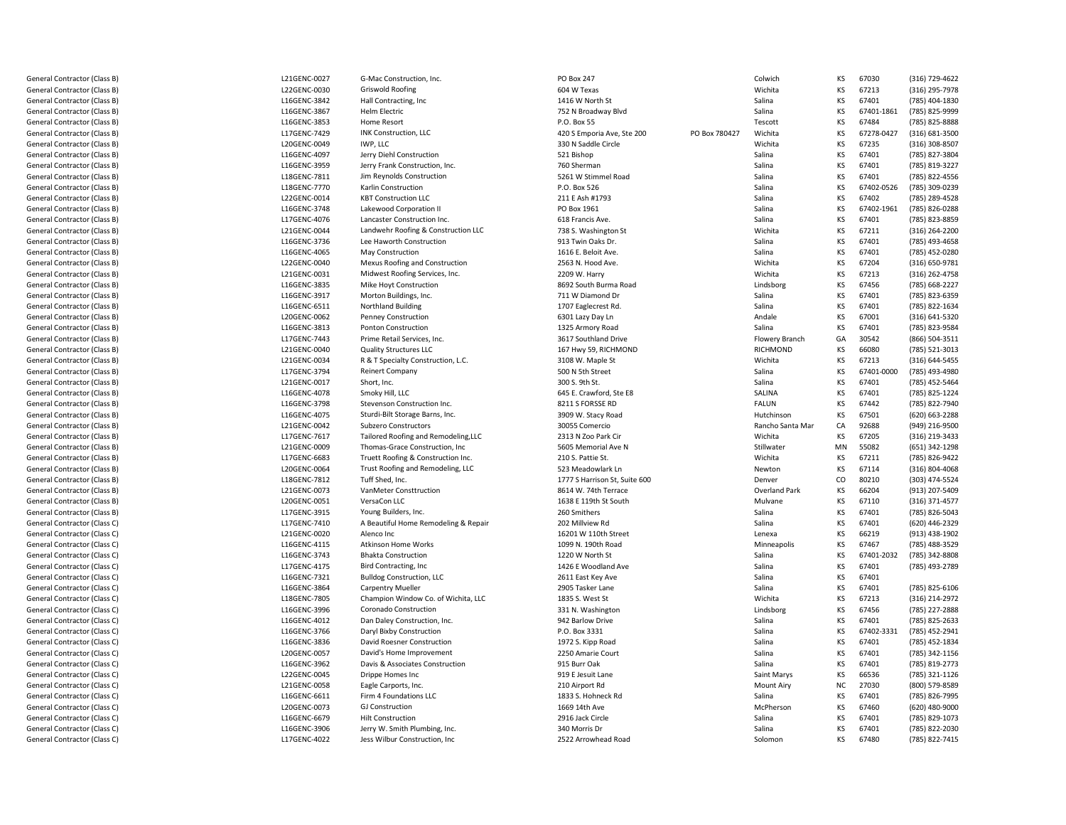General Contractor (Class B)General Contractor (Class B)General Contractor (Class B)General Contractor (Class B)General Contractor (Class B)General Contractor (Class B)General Contractor (Class B)General Contractor (Class B)General Contractor (Class B)General Contractor (Class B)General Contractor (Class B)General Contractor (Class B)General Contractor (Class B)General Contractor (Class B)General Contractor (Class B)General Contractor (Class B)General Contractor (Class B)General Contractor (Class B)General Contractor (Class B)General Contractor (Class B)General Contractor (Class B)General Contractor (Class B)General Contractor (Class B)General Contractor (Class B)General Contractor (Class B)General Contractor (Class B)General Contractor (Class B)General Contractor (Class B)General Contractor (Class B)General Contractor (Class B)General Contractor (Class B)General Contractor (Class B)General Contractor (Class B)General Contractor (Class B)General Contractor (Class B)General Contractor (Class B)General Contractor (Class B)General Contractor (Class B)General Contractor (Class B)General Contractor (Class B)General Contractor (Class B)General Contractor (Class C)General Contractor (Class C)General Contractor (Class C)General Contractor (Class C)General Contractor (Class C)General Contractor (Class C)General Contractor (Class C)General Contractor (Class C)General Contractor (Class C)General Contractor (Class C)General Contractor (Class C)General Contractor (Class C)General Contractor (Class C)General Contractor (Class C)General Contractor (Class C)General Contractor (Class C)General Contractor (Class C)General Contractor (Class C)General Contractor (Class C)General Contractor (Class C)General Contractor (Class C)

L21GENC-0027 L22GENC-0030 L16GENC-3842 L16GENC-3867 L16GENC-3853 L17GENC-7429 L20GENC-0049 L16GENC4097 L16GENC3959L18GENC-7811 L18GENC-7770 L22GENC-0014 L16GENC-3748 L17GENC-4076 L21GENC-0044 L16GENC-3736 L16GENC4065L22GENC-0040 L21GENC-0031 L16GENC-3835 L16GENC-3917 L16GENC-6511 L20GENC-0062 L16GENC-3813 L17GENC7443L21GENC-0040 L21GENC-0034 L17GENC-3794 L21GENC-0017 L16GENC-4078 L16GENC-3798 L16GENC-4075 L21GENC-0042 L17GENC-7617 L21GENC-0009 L17GENC-6683 L20GENC-0064 L18GENC-7812 L21GENC-0073 L20GENC-0051 L17GENC3915L17GENC-7410 L21GENC-0020 L16GENC-4115 L16GENC-3743 L17GENC-4175 L16GENC-7321 L16GENC-3864 L18GENC-7805 L16GENC-3996 L16GENC-4012 L16GENC-3766 L16GENC3836L20GENC-0057 L16GENC-3962 L22GENC-0045 L21GENC-0058 L16GENC6611L20GENC-0073 L16GENC-6679 L16GENC-3906 L17GENC-4022

| $\overline{7}$           | G-Mac Construction, Inc.                 | <b>PO Box 247</b>             |               | Colwich           | KS        | 67030      | (316) 729-4622 |
|--------------------------|------------------------------------------|-------------------------------|---------------|-------------------|-----------|------------|----------------|
| O                        | <b>Griswold Roofing</b>                  | 604 W Texas                   |               | Wichita           | KS        | 67213      | (316) 295-7978 |
| $\overline{a}$           | Hall Contracting, Inc.                   | 1416 W North St               |               | Salina            | KS        | 67401      | (785) 404-1830 |
|                          | <b>Helm Electric</b>                     | 752 N Broadway Blvd           |               | Salina            | KS        | 67401-1861 | (785) 825-9999 |
| 3                        | Home Resort                              | P.O. Box 55                   |               | Tescott           | KS        | 67484      | (785) 825-8888 |
| 9                        | INK Construction, LLC                    | 420 S Emporia Ave, Ste 200    | PO Box 780427 | Wichita           | KS        | 67278-0427 | (316) 681-3500 |
|                          | IWP, LLC                                 | 330 N Saddle Circle           |               | Wichita           | KS        | 67235      | (316) 308-8507 |
|                          | Jerry Diehl Construction                 | 521 Bishop                    |               | Salina            | KS        | 67401      | (785) 827-3804 |
| 9                        | Jerry Frank Construction, Inc.           | 760 Sherman                   |               | Salina            | KS        | 67401      | (785) 819-3227 |
| $\mathbf{1}$             | Jim Reynolds Construction                | 5261 W Stimmel Road           |               | Salina            | KS        | 67401      | (785) 822-4556 |
| O                        | Karlin Construction                      | P.O. Box 526                  |               | Salina            | KS        | 67402-0526 | (785) 309-0239 |
| 4                        | <b>KBT Construction LLC</b>              | 211 E Ash #1793               |               | Salina            | KS        | 67402      | (785) 289-4528 |
|                          | Lakewood Corporation II                  | PO Box 1961                   |               | Salina            | KS        | 67402-1961 | (785) 826-0288 |
| 6                        | Lancaster Construction Inc.              | 618 Francis Ave.              |               | Salina            | KS        | 67401      | (785) 823-8859 |
| 4                        | Landwehr Roofing & Construction LLC      | 738 S. Washington St          |               | Wichita           | KS        | 67211      | (316) 264-2200 |
| 6                        | Lee Haworth Construction                 | 913 Twin Oaks Dr.             |               | Salina            | KS        | 67401      | (785) 493-4658 |
|                          | May Construction                         | 1616 E. Beloit Ave.           |               | Salina            | KS        | 67401      | (785) 452-0280 |
| 0                        | Mexus Roofing and Construction           | 2563 N. Hood Ave.             |               | Wichita           | KS        | 67204      | (316) 650-9781 |
| $\mathbf{1}$             |                                          |                               |               | Wichita           | KS        | 67213      |                |
| 5                        | Midwest Roofing Services, Inc.           | 2209 W. Harry                 |               |                   | KS        | 67456      | (316) 262-4758 |
|                          | Mike Hoyt Construction                   | 8692 South Burma Road         |               | Lindsborg         |           |            | (785) 668-2227 |
|                          | Morton Buildings, Inc.                   | 711 W Diamond Dr              |               | Salina            | KS        | 67401      | (785) 823-6359 |
| $\overline{1}$           | Northland Building                       | 1707 Eaglecrest Rd.           |               | Salina            | KS        | 67401      | (785) 822-1634 |
| $\overline{a}$           | Penney Construction                      | 6301 Lazy Day Ln              |               | Andale            | KS        | 67001      | (316) 641-5320 |
| 3                        | <b>Ponton Construction</b>               | 1325 Armory Road              |               | Salina            | KS        | 67401      | (785) 823-9584 |
| 3                        | Prime Retail Services, Inc.              | 3617 Southland Drive          |               | Flowery Branch    | GA        | 30542      | (866) 504-3511 |
| O                        | <b>Quality Structures LLC</b>            | 167 Hwy 59, RICHMOND          |               | RICHMOND          | KS        | 66080      | (785) 521-3013 |
| 4                        | R & T Specialty Construction, L.C.       | 3108 W. Maple St              |               | Wichita           | KS        | 67213      | (316) 644-5455 |
| 4                        | <b>Reinert Company</b>                   | 500 N 5th Street              |               | Salina            | KS        | 67401-0000 | (785) 493-4980 |
|                          | Short, Inc.                              | 300 S. 9th St.                |               | Salina            | KS        | 67401      | (785) 452-5464 |
| 8                        | Smoky Hill, LLC                          | 645 E. Crawford. Ste E8       |               | SALINA            | KS        | 67401      | (785) 825-1224 |
| 8                        | Stevenson Construction Inc.              | 8211 S FORSSE RD              |               | <b>FALUN</b>      | KS        | 67442      | (785) 822-7940 |
|                          | Sturdi-Bilt Storage Barns, Inc.          | 3909 W. Stacy Road            |               | Hutchinson        | KS        | 67501      | (620) 663-2288 |
| $\overline{2}$           | Subzero Constructors                     | 30055 Comercio                |               | Rancho Santa Mar  | CA        | 92688      | (949) 216-9500 |
|                          | Tailored Roofing and Remodeling, LLC     | 2313 N Zoo Park Cir           |               | Wichita           | KS        | 67205      | (316) 219-3433 |
| q                        | Thomas-Grace Construction, Inc.          | 5605 Memorial Ave N           |               | Stillwater        | MN        | 55082      | (651) 342-1298 |
|                          | Truett Roofing & Construction Inc.       | 210 S. Pattie St.             |               | Wichita           | KS        | 67211      | (785) 826-9422 |
| 4                        | Trust Roofing and Remodeling, LLC        | 523 Meadowlark Ln             |               | Newton            | KS        | 67114      | (316) 804-4068 |
| $\overline{2}$           | Tuff Shed, Inc.                          | 1777 S Harrison St, Suite 600 |               | Denver            | CO        | 80210      | (303) 474-5524 |
| 3                        | VanMeter Consttruction                   | 8614 W. 74th Terrace          |               | Overland Park     | KS        | 66204      | (913) 207-5409 |
| $\mathbf{1}$             | VersaCon LLC                             | 1638 E 119th St South         |               | Mulvane           | KS        | 67110      | (316) 371-4577 |
| 5                        | Young Builders, Inc.                     | 260 Smithers                  |               | Salina            | KS        | 67401      | (785) 826-5043 |
| O                        | A Beautiful Home Remodeling & Repair     | 202 Millview Rd               |               | Salina            | KS        | 67401      | (620) 446-2329 |
| O                        | Alenco Inc                               | 16201 W 110th Street          |               | Lenexa            | KS        | 66219      | (913) 438-1902 |
| 5                        | <b>Atkinson Home Works</b>               | 1099 N. 190th Road            |               | Minneapolis       | KS        | 67467      | (785) 488-3529 |
| 3                        | <b>Bhakta Construction</b>               | 1220 W North St               |               | Salina            | KS        | 67401-2032 | (785) 342-8808 |
|                          | Bird Contracting, Inc                    | 1426 E Woodland Ave           |               | Salina            | KS        | 67401      | (785) 493-2789 |
| 1                        | <b>Bulldog Construction, LLC</b>         | 2611 East Key Ave             |               | Salina            | KS        | 67401      |                |
| 4                        | <b>Carpentry Mueller</b>                 | 2905 Tasker Lane              |               | Salina            | KS        | 67401      | (785) 825-6106 |
| 5                        | Champion Window Co. of Wichita, LLC      | 1835 S. West St               |               | Wichita           | KS        | 67213      | (316) 214-2972 |
| 6                        | Coronado Construction                    | 331 N. Washington             |               | Lindsborg         | KS        | 67456      | (785) 227-2888 |
| $\overline{a}$           | Dan Daley Construction, Inc.             | 942 Barlow Drive              |               | Salina            | KS        | 67401      | (785) 825-2633 |
| 6                        | Daryl Bixby Construction                 | P.O. Box 3331                 |               | Salina            | KS        | 67402-3331 | (785) 452-2941 |
| 6                        | David Roesner Construction               | 1972 S. Kipp Road             |               | Salina            | KS        | 67401      | (785) 452-1834 |
|                          | David's Home Improvement                 | 2250 Amarie Court             |               | Salina            | KS        | 67401      | (785) 342-1156 |
| $\overline{\phantom{a}}$ | Davis & Associates Construction          | 915 Burr Oak                  |               | Salina            | KS        | 67401      | (785) 819-2773 |
|                          |                                          | 919 E Jesuit Lane             |               |                   | KS        | 66536      |                |
| 8                        | Drippe Homes Inc<br>Eagle Carports, Inc. | 210 Airport Rd                |               | Saint Marys       | <b>NC</b> | 27030      | (785) 321-1126 |
|                          |                                          |                               |               | <b>Mount Airy</b> |           |            | (800) 579-8589 |
| 3                        | Firm 4 Foundations LLC                   | 1833 S. Hohneck Rd            |               | Salina            | KS<br>KS  | 67401      | (785) 826-7995 |
| q                        | <b>GJ Construction</b>                   | 1669 14th Ave                 |               | McPherson         |           | 67460      | (620) 480-9000 |
|                          | <b>Hilt Construction</b>                 | 2916 Jack Circle              |               | Salina            | KS        | 67401      | (785) 829-1073 |
| 6                        | Jerry W. Smith Plumbing, Inc.            | 340 Morris Dr                 |               | Salina            | KS        | 67401      | (785) 822-2030 |
| $\overline{\mathbf{c}}$  | Jess Wilbur Construction, Inc            | 2522 Arrowhead Road           |               | Solomon           | KS        | 67480      | (785) 822-7415 |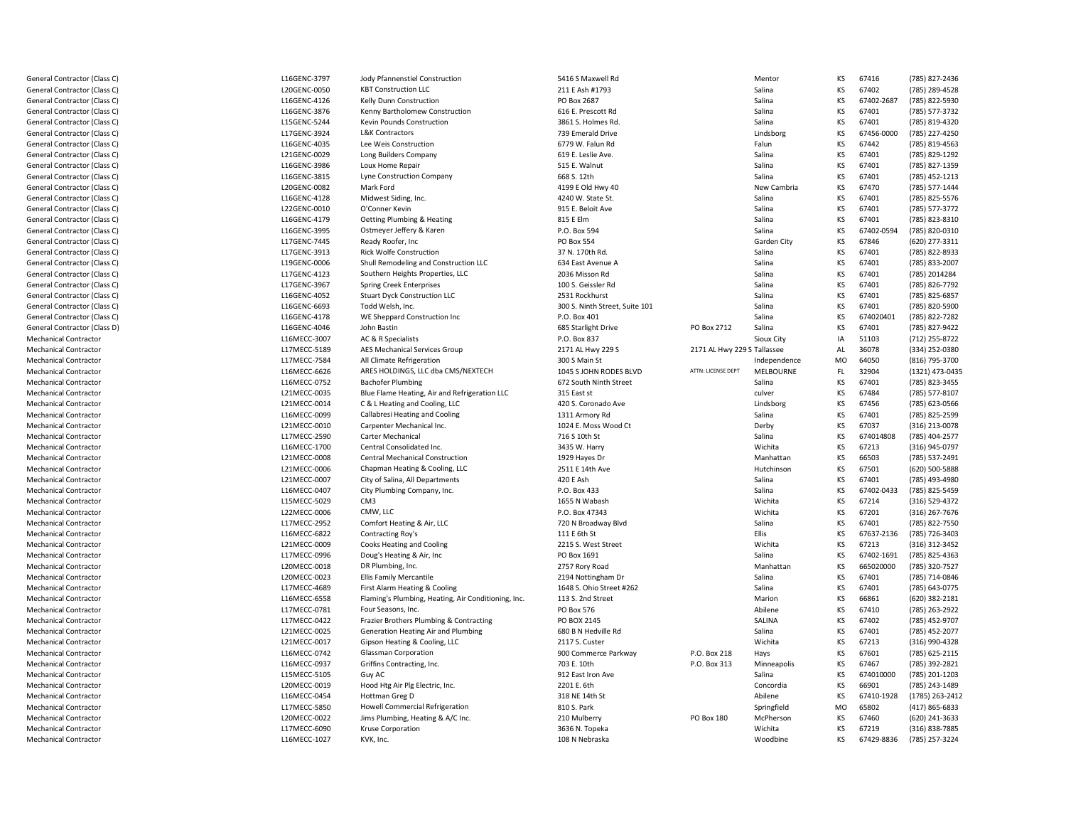General Contractor (Class C)General Contractor (Class C)General Contractor (Class C)General Contractor (Class C)General Contractor (Class C)General Contractor (Class C)General Contractor (Class C)General Contractor (Class C)General Contractor (Class C)General Contractor (Class C)General Contractor (Class C)General Contractor (Class C)General Contractor (Class C)General Contractor (Class C)General Contractor (Class C)General Contractor (Class C)General Contractor (Class C)General Contractor (Class C)General Contractor (Class C)General Contractor (Class C)General Contractor (Class C)General Contractor (Class C)General Contractor (Class C)General Contractor (Class D)Mechanical ContractorMechanical ContractorMechanical ContractorMechanical ContractorMechanical ContractorMechanical ContractorMechanical ContractorMechanical ContractorMechanical ContractorMechanical ContractorMechanical ContractorMechanical ContractorMechanical ContractorMechanical ContractorMechanical ContractorMechanical ContractorMechanical ContractorMechanical ContractorMechanical ContractorMechanical ContractorMechanical ContractorMechanical ContractorMechanical ContractorMechanical ContractorMechanical ContractorMechanical ContractorMechanical ContractorMechanical ContractorMechanical ContractorMechanical ContractorMechanical ContractorMechanical ContractorMechanical ContractorMechanical ContractorMechanical ContractorMechanical ContractorMechanical ContractorMechanical Contractor

L16GENC-3797 L20GENC-0050 L16GENC-4126 L16GENC-3876 L15GENC-5244 L17GENC-3924 L16GENC4035L21GENC-0029 L16GENC3986L16GENC-3815 L20GENC-0082 L16GENC-4128 L22GENC-0010 L16GENC-4179 L16GENC-3995 L17GENC-7445 L17GENC-3913 L19GENC-0006 L17GENC-4123 L17GENC-3967 L16GENC-4052 L16GENC-6693 L16GENC-4178 L16GENC-4046 L16MECC-3007 L17MECC-5189 L17MECC-7584 L16MECC-6626 L16MECC-0752 L21MECC-0035 L21MECC-0014 L16MECC-0099 L21MECC-0010 L17MECC-2590 L16MECC-1700 L21MECC-0008 L21MECC-0006 L21MECC-0007 L16MECC-0407 L15MECC5029L22MECC-0006 L17MECC-2952 L16MECC-6822 L21MECC-0009 L17MECC-0996 L20MECC-0018 L20MECC-0023 L17MECC-4689 L16MECC-6558 L17MECC-0781 L17MECC-0422 L21MECC-0025 L21MECC-0017 L16MFCC-0742 L16MECC-0937 L15MECC-5105 L20MECC-0019 L16MFCC-0454 L17MECC-5850 L20MECC-0022 L17MECC-6090

L16MECC-1027

|                         | Jody Pfannenstiel Construction                      | 5416 S Maxwell Rd              |                             | Mentor       | ΚS        | 67416      | (785) 827-2436  |
|-------------------------|-----------------------------------------------------|--------------------------------|-----------------------------|--------------|-----------|------------|-----------------|
| 0                       | <b>KBT Construction LLC</b>                         | 211 E Ash #1793                |                             | Salina       | KS        | 67402      | (785) 289-4528  |
|                         | Kelly Dunn Construction                             | PO Box 2687                    |                             | Salina       | KS        | 67402-2687 | (785) 822-5930  |
| 6                       | Kenny Bartholomew Construction                      | 616 E. Prescott Rd             |                             | Salina       | KS        | 67401      | (785) 577-3732  |
| 4                       | Kevin Pounds Construction                           | 3861 S. Holmes Rd.             |                             | Salina       | KS        | 67401      | (785) 819-4320  |
| 4                       | L&K Contractors                                     | 739 Emerald Drive              |                             | Lindsborg    | KS        | 67456-0000 | (785) 227-4250  |
|                         | Lee Weis Construction                               | 6779 W. Falun Rd               |                             | Falun        | KS        | 67442      | (785) 819-4563  |
| 9                       | Long Builders Company                               | 619 E. Leslie Ave.             |                             | Salina       | KS        | 67401      | (785) 829-1292  |
| 6                       | Loux Home Repair                                    | 515 E. Walnut                  |                             | Salina       | <b>KS</b> | 67401      | (785) 827-1359  |
| 5                       | Lyne Construction Company                           | 668 S. 12th                    |                             | Salina       | KS        | 67401      | (785) 452-1213  |
| $\overline{2}$          | Mark Ford                                           | 4199 E Old Hwy 40              |                             | New Cambria  | KS        | 67470      | (785) 577-1444  |
| 8                       | Midwest Siding, Inc.                                | 4240 W. State St.              |                             | Salina       | KS        | 67401      | (785) 825-5576  |
| 0                       | O'Conner Kevin                                      | 915 E. Beloit Ave              |                             | Salina       | KS        | 67401      | (785) 577-3772  |
| 9                       | Oetting Plumbing & Heating                          | 815 E Elm                      |                             | Salina       | KS        | 67401      | (785) 823-8310  |
| 5                       | Ostmeyer Jeffery & Karen                            | P.O. Box 594                   |                             | Salina       | KS        | 67402-0594 | (785) 820-0310  |
| 5                       | Ready Roofer, Inc                                   | <b>PO Box 554</b>              |                             | Garden City  | KS        | 67846      | (620) 277-3311  |
| 3                       | <b>Rick Wolfe Construction</b>                      | 37 N. 170th Rd.                |                             | Salina       | KS        | 67401      | (785) 822-8933  |
| 6                       | Shull Remodeling and Construction LLC               | 634 East Avenue A              |                             | Salina       | KS        | 67401      | (785) 833-2007  |
| 3                       | Southern Heights Properties, LLC                    | 2036 Misson Rd                 |                             | Salina       | KS        | 67401      | (785) 2014284   |
|                         | <b>Spring Creek Enterprises</b>                     | 100 S. Geissler Rd             |                             | Salina       | KS        | 67401      | (785) 826-7792  |
| 2                       |                                                     |                                |                             | Salina       | KS        | 67401      |                 |
| 3                       | <b>Stuart Dyck Construction LLC</b>                 | 2531 Rockhurst                 |                             |              |           |            | (785) 825-6857  |
|                         | Todd Welsh, Inc.                                    | 300 S. Ninth Street, Suite 101 |                             | Salina       | KS        | 67401      | (785) 820-5900  |
| 8                       | WE Sheppard Construction Inc                        | P.O. Box 401                   |                             | Salina       | KS        | 674020401  | (785) 822-7282  |
| 6                       | John Bastin                                         | 685 Starlight Drive            | PO Box 2712                 | Salina       | KS        | 67401      | (785) 827-9422  |
| $\overline{7}$          | AC & R Specialists                                  | P.O. Box 837                   |                             | Sioux City   | IA        | 51103      | (712) 255-8722  |
| 9                       | AES Mechanical Services Group                       | 2171 AL Hwy 229 S              | 2171 AL Hwy 229 S Tallassee |              | AL        | 36078      | (334) 252-0380  |
| 4                       | All Climate Refrigeration                           | 300 S Main St                  |                             | Independence | MO        | 64050      | (816) 795-3700  |
| 6                       | ARES HOLDINGS, LLC dba CMS/NEXTECH                  | 1045 S JOHN RODES BLVD         | ATTN: LICENSE DEPT          | MELBOURNE    | FL.       | 32904      | (1321) 473-0435 |
| $\overline{2}$          | <b>Bachofer Plumbing</b>                            | 672 South Ninth Street         |                             | Salina       | KS        | 67401      | (785) 823-3455  |
| 5                       | Blue Flame Heating, Air and Refrigeration LLC       | 315 East st                    |                             | culver       | <b>KS</b> | 67484      | (785) 577-8107  |
| 4                       | C & L Heating and Cooling, LLC                      | 420 S. Coronado Ave            |                             | Lindsborg    | KS        | 67456      | (785) 623-0566  |
| 9                       | Callabresi Heating and Cooling                      | 1311 Armory Rd                 |                             | Salina       | KS        | 67401      | (785) 825-2599  |
| 0                       | Carpenter Mechanical Inc.                           | 1024 E. Moss Wood Ct           |                             | Derby        | KS        | 67037      | (316) 213-0078  |
| 0                       | Carter Mechanical                                   | 716 S 10th St                  |                             | Salina       | KS        | 674014808  | (785) 404-2577  |
| O                       | Central Consolidated Inc.                           | 3435 W. Harry                  |                             | Wichita      | KS        | 67213      | (316) 945-0797  |
| 18                      | <b>Central Mechanical Construction</b>              | 1929 Hayes Dr                  |                             | Manhattan    | KS        | 66503      | (785) 537-2491  |
| 16                      | Chapman Heating & Cooling, LLC                      | 2511 E 14th Ave                |                             | Hutchinson   | KS        | 67501      | (620) 500-5888  |
| 17                      | City of Salina, All Departments                     | 420 E Ash                      |                             | Salina       | KS        | 67401      | (785) 493-4980  |
| 17                      | City Plumbing Company, Inc.                         | P.O. Box 433                   |                             | Salina       | KS        | 67402-0433 | (785) 825-5459  |
| 9                       | CM <sub>3</sub>                                     | 1655 N Wabash                  |                             | Wichita      | KS        | 67214      | (316) 529-4372  |
| 16                      | CMW, LLC                                            | P.O. Box 47343                 |                             | Wichita      | KS        | 67201      | (316) 267-7676  |
| $\overline{2}$          | Comfort Heating & Air, LLC                          | 720 N Broadway Blvd            |                             | Salina       | KS        | 67401      | (785) 822-7550  |
| $\overline{2}$          | Contracting Roy's                                   | 111 E 6th St                   |                             | Ellis        | KS        | 67637-2136 | (785) 726-3403  |
| 19                      | Cooks Heating and Cooling                           | 2215 S. West Street            |                             | Wichita      | KS        | 67213      | (316) 312-3452  |
| 6                       | Doug's Heating & Air, Inc                           | PO Box 1691                    |                             | Salina       | KS        | 67402-1691 | (785) 825-4363  |
| 8                       | DR Plumbing, Inc.                                   | 2757 Rory Road                 |                             | Manhattan    | KS        | 665020000  | (785) 320-7527  |
| 3                       | Ellis Family Mercantile                             | 2194 Nottingham Dr             |                             | Salina       | KS        | 67401      | (785) 714-0846  |
| 9                       | First Alarm Heating & Cooling                       | 1648 S. Ohio Street #262       |                             | Salina       | KS        | 67401      | (785) 643-0775  |
| $\overline{\mathbf{8}}$ | Flaming's Plumbing, Heating, Air Conditioning, Inc. | 113 S. 2nd Street              |                             | Marion       | KS        | 66861      | (620) 382-2181  |
| $\mathbf{1}$            |                                                     | PO Box 576                     |                             | Abilene      | KS        | 67410      |                 |
|                         | Four Seasons, Inc.                                  |                                |                             |              |           |            | (785) 263-2922  |
| $\overline{2}$          | Frazier Brothers Plumbing & Contracting             | PO BOX 2145                    |                             | SALINA       | KS        | 67402      | (785) 452-9707  |
| 5                       | Generation Heating Air and Plumbing                 | 680 B N Hedville Rd            |                             | Salina       | KS        | 67401      | (785) 452-2077  |
| $\overline{7}$          | Gipson Heating & Cooling, LLC                       | 2117 S. Custer                 |                             | Wichita      | KS        | 67213      | (316) 990-4328  |
| $\overline{2}$          | Glassman Corporation                                | 900 Commerce Parkway           | P.O. Box 218                | Hays         | KS        | 67601      | (785) 625-2115  |
| 7                       | Griffins Contracting, Inc.                          | 703 E. 10th                    | P.O. Box 313                | Minneapolis  | KS        | 67467      | (785) 392-2821  |
| 15                      | Guy AC                                              | 912 East Iron Ave              |                             | Salina       | KS        | 674010000  | (785) 201-1203  |
| 9                       | Hood Htg Air Plg Electric, Inc.                     | 2201 E. 6th                    |                             | Concordia    | <b>KS</b> | 66901      | (785) 243-1489  |
| $\overline{4}$          | Hottman Greg D                                      | 318 NE 14th St                 |                             | Abilene      | KS        | 67410-1928 | (1785) 263-2412 |
| O                       | Howell Commercial Refrigeration                     | 810 S. Park                    |                             | Springfield  | <b>MO</b> | 65802      | (417) 865-6833  |
| $\overline{2}$          | Jims Plumbing, Heating & A/C Inc.                   | 210 Mulberry                   | <b>PO Box 180</b>           | McPherson    | KS        | 67460      | (620) 241-3633  |
| O                       | <b>Kruse Corporation</b>                            | 3636 N. Topeka                 |                             | Wichita      | KS        | 67219      | (316) 838-7885  |
| 7                       | KVK, Inc.                                           | 108 N Nebraska                 |                             | Woodbine     | KS        | 67429-8836 | (785) 257-3224  |
|                         |                                                     |                                |                             |              |           |            |                 |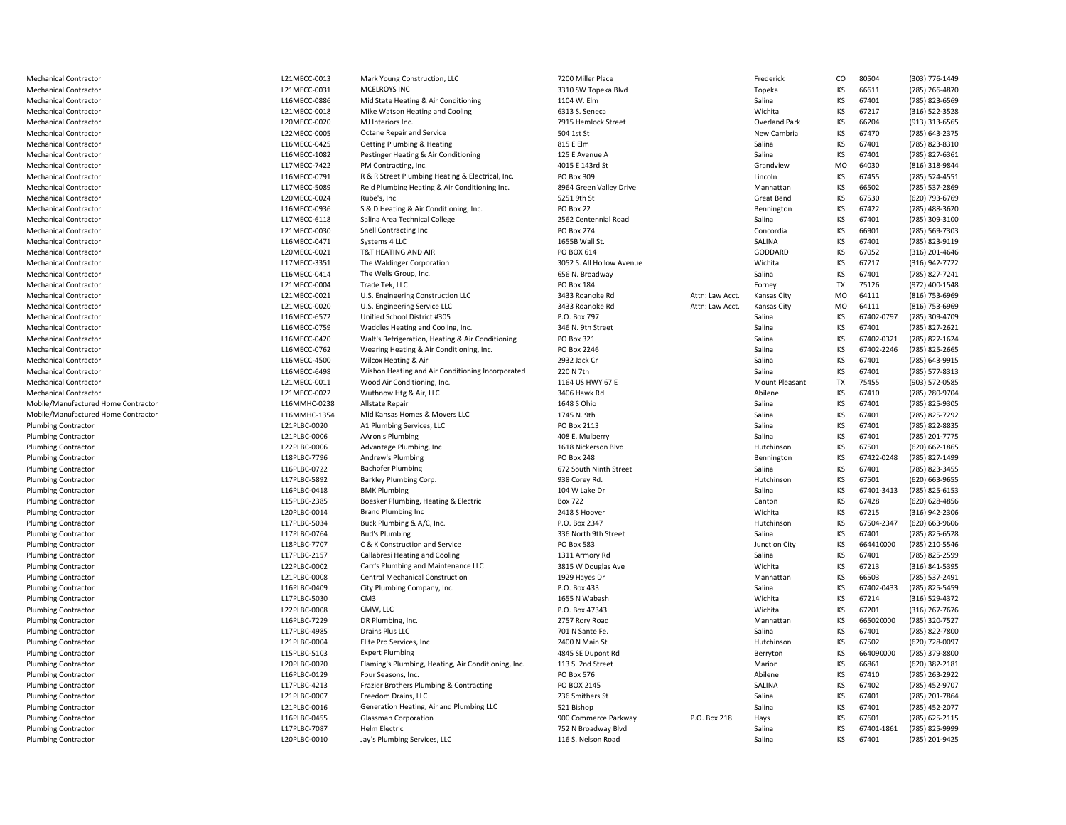| <b>Mechanical Contractor</b>        | L21MECC-0013 | Mark Young Construction, LLC                        | 7200 Miller Place         |                 | Frederick            | CO        | 80504      | (303) 776-1449 |
|-------------------------------------|--------------|-----------------------------------------------------|---------------------------|-----------------|----------------------|-----------|------------|----------------|
| <b>Mechanical Contractor</b>        | L21MECC-0031 | MCELROYS INC                                        | 3310 SW Topeka Blvd       |                 | Topeka               | KS        | 66611      | (785) 266-4870 |
| <b>Mechanical Contractor</b>        | L16MECC-0886 | Mid State Heating & Air Conditioning                | 1104 W. Elm               |                 | Salina               | KS        | 67401      | (785) 823-6569 |
| <b>Mechanical Contractor</b>        | L21MECC-0018 | Mike Watson Heating and Cooling                     | 6313 S. Seneca            |                 | Wichita              | KS        | 67217      | (316) 522-3528 |
| <b>Mechanical Contractor</b>        | L20MECC-0020 | MJ Interiors Inc.                                   | 7915 Hemlock Street       |                 | Overland Park        | KS        | 66204      | (913) 313-6565 |
| <b>Mechanical Contractor</b>        | L22MECC-0005 | Octane Repair and Service                           | 504 1st St                |                 | New Cambria          | KS        | 67470      | (785) 643-2375 |
| <b>Mechanical Contractor</b>        | L16MECC-0425 | Oetting Plumbing & Heating                          | 815 E Elm                 |                 | Salina               | KS        | 67401      | (785) 823-8310 |
| <b>Mechanical Contractor</b>        | L16MECC-1082 | Pestinger Heating & Air Conditioning                | 125 E Avenue A            |                 | Salina               | KS        | 67401      | (785) 827-6361 |
| <b>Mechanical Contractor</b>        | L17MECC-7422 | PM Contracting, Inc.                                | 4015 E 143rd St           |                 | Grandview            | <b>MO</b> | 64030      | (816) 318-9844 |
| <b>Mechanical Contractor</b>        | L16MECC-0791 | R & R Street Plumbing Heating & Electrical, Inc.    | <b>PO Box 309</b>         |                 | Lincoln              | KS        | 67455      | (785) 524-4551 |
| <b>Mechanical Contractor</b>        | L17MECC-5089 | Reid Plumbing Heating & Air Conditioning Inc.       | 8964 Green Valley Drive   |                 | Manhattan            | KS        | 66502      | (785) 537-2869 |
| <b>Mechanical Contractor</b>        | L20MECC-0024 | Rube's, Inc                                         | 5251 9th St               |                 | Great Bend           | KS        | 67530      | (620) 793-6769 |
| <b>Mechanical Contractor</b>        | L16MECC-0936 | S & D Heating & Air Conditioning, Inc.              | PO Box 22                 |                 | Bennington           | KS        | 67422      | (785) 488-3620 |
|                                     | L17MECC-6118 | Salina Area Technical College                       | 2562 Centennial Road      |                 | Salina               | KS        | 67401      | (785) 309-3100 |
| <b>Mechanical Contractor</b>        |              |                                                     |                           |                 |                      | KS        |            |                |
| <b>Mechanical Contractor</b>        | L21MECC-0030 | Snell Contracting Inc                               | <b>PO Box 274</b>         |                 | Concordia            |           | 66901      | (785) 569-7303 |
| <b>Mechanical Contractor</b>        | L16MECC-0471 | Systems 4 LLC                                       | 1655B Wall St             |                 | SALINA               | KS        | 67401      | (785) 823-9119 |
| <b>Mechanical Contractor</b>        | L20MECC-0021 | T&T HEATING AND AIR                                 | PO BOX 614                |                 | GODDARD              | KS        | 67052      | (316) 201-4646 |
| Mechanical Contractor               | L17MECC-3351 | The Waldinger Corporation                           | 3052 S. All Hollow Avenue |                 | Wichita              | KS        | 67217      | (316) 942-7722 |
| Mechanical Contractor               | L16MECC-0414 | The Wells Group, Inc.                               | 656 N. Broadway           |                 | Salina               | KS        | 67401      | (785) 827-7241 |
| <b>Mechanical Contractor</b>        | L21MECC-0004 | Trade Tek, LLC                                      | <b>PO Box 184</b>         |                 | Forney               | <b>TX</b> | 75126      | (972) 400-1548 |
| <b>Mechanical Contractor</b>        | L21MECC-0021 | U.S. Engineering Construction LLC                   | 3433 Roanoke Rd           | Attn: Law Acct. | Kansas City          | MO        | 64111      | (816) 753-6969 |
| <b>Mechanical Contractor</b>        | L21MECC-0020 | U.S. Engineering Service LLC                        | 3433 Roanoke Rd           | Attn: Law Acct. | Kansas City          | MO        | 64111      | (816) 753-6969 |
| <b>Mechanical Contractor</b>        | L16MECC-6572 | Unified School District #305                        | P.O. Box 797              |                 | Salina               | KS        | 67402-0797 | (785) 309-4709 |
| <b>Mechanical Contractor</b>        | L16MECC-0759 | Waddles Heating and Cooling, Inc.                   | 346 N. 9th Street         |                 | Salina               | KS        | 67401      | (785) 827-2621 |
| <b>Mechanical Contractor</b>        | L16MECC-0420 | Walt's Refrigeration, Heating & Air Conditioning    | PO Box 321                |                 | Salina               | KS        | 67402-0321 | (785) 827-1624 |
| Mechanical Contractor               | L16MECC-0762 | Wearing Heating & Air Conditioning, Inc.            | PO Box 2246               |                 | Salina               | KS        | 67402-2246 | (785) 825-2665 |
| <b>Mechanical Contractor</b>        | L16MECC-4500 | Wilcox Heating & Air                                | 2932 Jack Cr              |                 | Salina               | KS        | 67401      | (785) 643-9915 |
| <b>Mechanical Contractor</b>        | L16MECC-6498 | Wishon Heating and Air Conditioning Incorporated    | 220 N 7th                 |                 | Salina               | KS        | 67401      | (785) 577-8313 |
| <b>Mechanical Contractor</b>        | L21MECC-0011 | Wood Air Conditioning, Inc.                         | 1164 US HWY 67 E          |                 | Mount Pleasant       | <b>TX</b> | 75455      | (903) 572-0585 |
|                                     | L21MECC-0022 | Wuthnow Htg & Air, LLC                              | 3406 Hawk Rd              |                 | Abilene              | KS        | 67410      |                |
| <b>Mechanical Contractor</b>        |              |                                                     |                           |                 | Salina               |           | 67401      | (785) 280-9704 |
| Mobile/Manufactured Home Contractor | L16MMHC-0238 | Allstate Repair                                     | 1648 S Ohio               |                 |                      | KS        |            | (785) 825-9305 |
| Mobile/Manufactured Home Contractor | L16MMHC-1354 | Mid Kansas Homes & Movers LLC                       | 1745 N. 9th               |                 | Salina               | KS        | 67401      | (785) 825-7292 |
| <b>Plumbing Contractor</b>          | L21PLBC-0020 | A1 Plumbing Services, LLC                           | PO Box 2113               |                 | Salina               | KS        | 67401      | (785) 822-8835 |
| <b>Plumbing Contractor</b>          | L21PLBC-0006 | <b>AAron's Plumbing</b>                             | 408 E. Mulberry           |                 | Salina               | KS        | 67401      | (785) 201-7775 |
| <b>Plumbing Contractor</b>          | L22PLBC-0006 | Advantage Plumbing, Inc.                            | 1618 Nickerson Blvd       |                 | Hutchinson           | KS        | 67501      | (620) 662-1865 |
| Plumbing Contractor                 | L18PLBC-7796 | Andrew's Plumbing                                   | <b>PO Box 248</b>         |                 | Bennington           | KS        | 67422-0248 | (785) 827-1499 |
| Plumbing Contractor                 | L16PLBC-0722 | <b>Bachofer Plumbing</b>                            | 672 South Ninth Street    |                 | Salina               | KS        | 67401      | (785) 823-3455 |
| Plumbing Contractor                 | L17PLBC-5892 | Barkley Plumbing Corp.                              | 938 Corey Rd.             |                 | Hutchinson           | KS        | 67501      | (620) 663-9655 |
| Plumbing Contractor                 | L16PLBC-0418 | <b>BMK Plumbing</b>                                 | 104 W Lake Dr             |                 | Salina               | KS        | 67401-3413 | (785) 825-6153 |
| <b>Plumbing Contractor</b>          | L15PLBC-2385 | Boesker Plumbing, Heating & Electric                | <b>Box 722</b>            |                 | Canton               | КS        | 67428      | (620) 628-4856 |
| <b>Plumbing Contractor</b>          | L20PLBC-0014 | <b>Brand Plumbing Inc</b>                           | 2418 S Hoover             |                 | Wichita              | KS        | 67215      | (316) 942-2306 |
| Plumbing Contractor                 | L17PLBC-5034 | Buck Plumbing & A/C, Inc.                           | P.O. Box 2347             |                 | Hutchinson           | KS        | 67504-2347 | (620) 663-9606 |
| Plumbing Contractor                 | L17PLBC-0764 | <b>Bud's Plumbing</b>                               | 336 North 9th Street      |                 | Salina               | KS        | 67401      | (785) 825-6528 |
| <b>Plumbing Contractor</b>          | L18PLBC-7707 | C & K Construction and Service                      | <b>PO Box 583</b>         |                 | <b>Junction City</b> | KS        | 664410000  | (785) 210-5546 |
| <b>Plumbing Contractor</b>          | L17PLBC-2157 | Callabresi Heating and Cooling                      | 1311 Armory Rd            |                 | Salina               | KS        | 67401      | (785) 825-2599 |
| Plumbing Contractor                 | L22PLBC-0002 | Carr's Plumbing and Maintenance LLC                 | 3815 W Douglas Ave        |                 | Wichita              | KS        | 67213      | (316) 841-5395 |
| Plumbing Contractor                 | L21PLBC-0008 | Central Mechanical Construction                     | 1929 Hayes Dr             |                 | Manhattan            | KS        | 66503      | (785) 537-2491 |
|                                     |              |                                                     |                           |                 |                      | KS        | 67402-0433 |                |
| Plumbing Contractor                 | L16PLBC-0409 | City Plumbing Company, Inc.                         | P.O. Box 433              |                 | Salina               |           |            | (785) 825-5459 |
| Plumbing Contractor                 | L17PLBC-5030 | CM <sub>3</sub>                                     | 1655 N Wabash             |                 | Wichita              | KS        | 67214      | (316) 529-4372 |
| <b>Plumbing Contractor</b>          | L22PLBC-0008 | CMW, LLC                                            | P.O. Box 47343            |                 | Wichita              | KS        | 67201      | (316) 267-7676 |
| <b>Plumbing Contractor</b>          | L16PLBC-7229 | DR Plumbing, Inc.                                   | 2757 Rory Road            |                 | Manhattan            | KS        | 665020000  | (785) 320-7527 |
| Plumbing Contractor                 | L17PLBC-4985 | Drains Plus LLC                                     | 701 N Sante Fe.           |                 | Salina               | KS        | 67401      | (785) 822-7800 |
| Plumbing Contractor                 | L21PLBC-0004 | Elite Pro Services, Inc                             | 2400 N Main St            |                 | Hutchinson           | KS        | 67502      | (620) 728-0097 |
| Plumbing Contractor                 | L15PLBC-5103 | <b>Expert Plumbing</b>                              | 4845 SE Dupont Rd         |                 | Berryton             | KS        | 664090000  | (785) 379-8800 |
| Plumbing Contractor                 | L20PLBC-0020 | Flaming's Plumbing, Heating, Air Conditioning, Inc. | 113 S. 2nd Street         |                 | Marion               | KS        | 66861      | (620) 382-2181 |
| <b>Plumbing Contractor</b>          | L16PLBC-0129 | Four Seasons, Inc.                                  | PO Box 576                |                 | Abilene              | KS        | 67410      | (785) 263-2922 |
| <b>Plumbing Contractor</b>          | L17PLBC-4213 | Frazier Brothers Plumbing & Contracting             | PO BOX 2145               |                 | SALINA               | KS        | 67402      | (785) 452-9707 |
| Plumbing Contractor                 | L21PLBC-0007 | Freedom Drains, LLC                                 | 236 Smithers St           |                 | Salina               | KS        | 67401      | (785) 201-7864 |
| Plumbing Contractor                 | L21PLBC-0016 | Generation Heating, Air and Plumbing LLC            | 521 Bishop                |                 | Salina               | KS        | 67401      | (785) 452-2077 |
| Plumbing Contractor                 | L16PLBC-0455 | <b>Glassman Corporation</b>                         | 900 Commerce Parkway      | P.O. Box 218    | Hays                 | KS        | 67601      | (785) 625-2115 |
| <b>Plumbing Contractor</b>          | L17PLBC-7087 | <b>Helm Electric</b>                                | 752 N Broadway Blvd       |                 | Salina               | KS        | 67401-1861 | (785) 825-9999 |
| <b>Plumbing Contractor</b>          | L20PLBC-0010 | Jay's Plumbing Services, LLC                        | 116 S. Nelson Road        |                 | Salina               | <b>KS</b> | 67401      | (785) 201-9425 |
|                                     |              |                                                     |                           |                 |                      |           |            |                |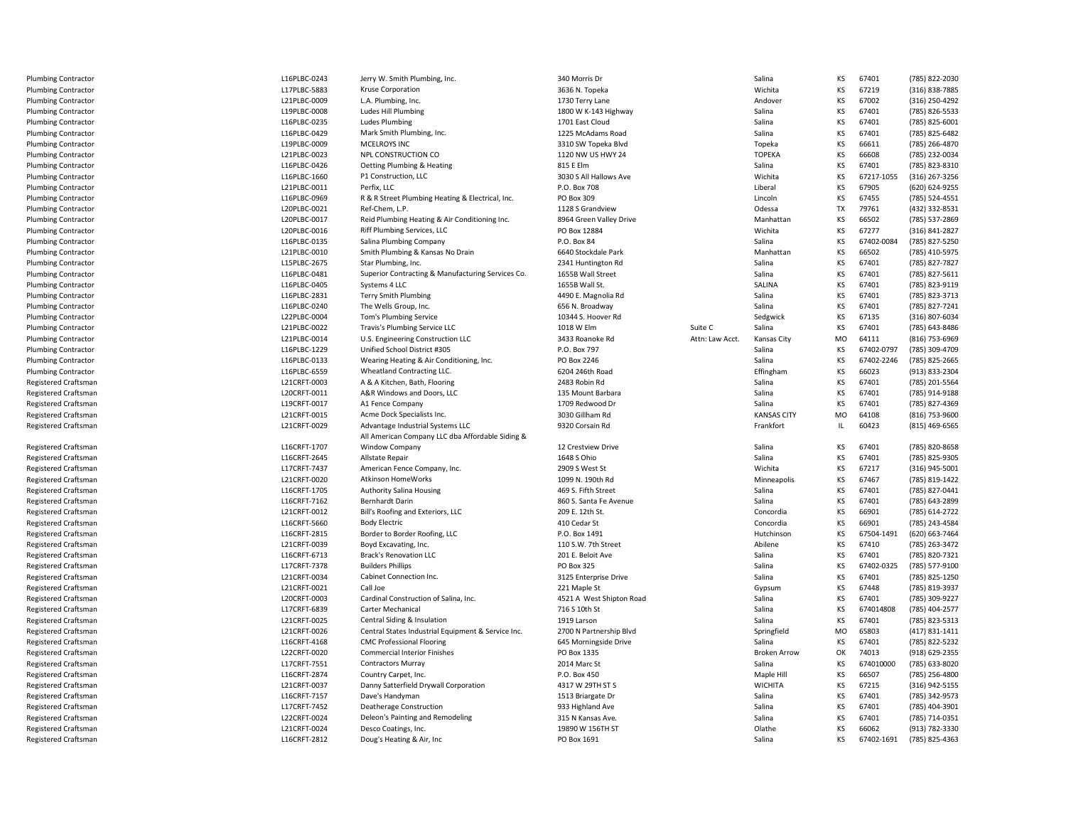| <b>Plumbing Contractor</b>                   | L16PLBC-0243                 | Jerry W. Smith Plumbing, Inc.                                                          | 340 Morris Dr                        |                 | Salina                | KS        | 67401               | (785) 822-2030                   |
|----------------------------------------------|------------------------------|----------------------------------------------------------------------------------------|--------------------------------------|-----------------|-----------------------|-----------|---------------------|----------------------------------|
| <b>Plumbing Contractor</b>                   | L17PLBC-5883                 | Kruse Corporation                                                                      | 3636 N. Topeka                       |                 | Wichita               | KS        | 67219               | (316) 838-7885                   |
| <b>Plumbing Contractor</b>                   | L21PLBC-0009                 | L.A. Plumbing, Inc.                                                                    | 1730 Terry Lane                      |                 | Andover               | KS        | 67002               | (316) 250-4292                   |
| <b>Plumbing Contractor</b>                   | L19PLBC-0008                 | Ludes Hill Plumbing                                                                    | 1800 W K-143 Highway                 |                 | Salina                | KS        | 67401               | (785) 826-5533                   |
| <b>Plumbing Contractor</b>                   | L16PLBC-0235                 | <b>Ludes Plumbing</b>                                                                  | 1701 East Cloud                      |                 | Salina                | KS        | 67401               | (785) 825-6001                   |
| <b>Plumbing Contractor</b>                   | L16PLBC-0429                 | Mark Smith Plumbing, Inc.                                                              | 1225 McAdams Road                    |                 | Salina                | KS        | 67401               | (785) 825-6482                   |
| <b>Plumbing Contractor</b>                   | L19PLBC-0009                 | MCELROYS INC                                                                           | 3310 SW Topeka Blvd                  |                 | Topeka                | KS        | 66611               | (785) 266-4870                   |
| <b>Plumbing Contractor</b>                   | L21PLBC-0023                 | NPL CONSTRUCTION CO                                                                    | 1120 NW US HWY 24                    |                 | <b>TOPEKA</b>         | KS        | 66608               | (785) 232-0034                   |
| <b>Plumbing Contractor</b>                   | L16PLBC-0426                 | Oetting Plumbing & Heating                                                             | 815 E Elm                            |                 | Salina                | KS        | 67401               | (785) 823-8310                   |
| <b>Plumbing Contractor</b>                   | L16PLBC-1660                 | P1 Construction, LLC                                                                   | 3030 S All Hallows Ave               |                 | Wichita               | KS        | 67217-1055          | (316) 267-3256                   |
| <b>Plumbing Contractor</b>                   | L21PLBC-0011                 | Perfix, LLC                                                                            | P.O. Box 708                         |                 | Liberal               | KS        | 67905               | (620) 624-9255                   |
| <b>Plumbing Contractor</b>                   | L16PLBC-0969                 | R & R Street Plumbing Heating & Electrical, Inc.                                       | PO Box 309                           |                 | Lincoln               | KS        | 67455               | (785) 524-4551                   |
| <b>Plumbing Contractor</b>                   | L20PLBC-0021                 | Ref-Chem, L.P.                                                                         | 1128 S Grandview                     |                 | Odessa                | TX        | 79761               | (432) 332-8531                   |
| <b>Plumbing Contractor</b>                   | L20PLBC-0017                 | Reid Plumbing Heating & Air Conditioning Inc.                                          | 8964 Green Valley Drive              |                 | Manhattan             | KS        | 66502               | (785) 537-2869                   |
| <b>Plumbing Contractor</b>                   | L20PLBC-0016                 | Riff Plumbing Services, LLC                                                            | PO Box 12884                         |                 | Wichita               | KS        | 67277               | $(316) 841 - 282$                |
| <b>Plumbing Contractor</b>                   | L16PLBC-0135                 | Salina Plumbing Company                                                                | P.O. Box 84                          |                 | Salina                | KS        | 67402-0084          | (785) 827-5250                   |
| <b>Plumbing Contractor</b>                   | L21PLBC-0010                 | Smith Plumbing & Kansas No Drain                                                       | 6640 Stockdale Park                  |                 | Manhattan             | KS        | 66502               | (785) 410-5975                   |
| <b>Plumbing Contractor</b>                   | L15PLBC-2675                 | Star Plumbing, Inc.                                                                    | 2341 Huntington Rd                   |                 | Salina                | KS        | 67401               | (785) 827-7827                   |
| <b>Plumbing Contractor</b>                   | L16PLBC-0481                 | Superior Contracting & Manufacturing Services Co.                                      | 1655B Wall Street                    |                 | Salina                | KS        | 67401               | (785) 827-5611                   |
| <b>Plumbing Contractor</b>                   | L16PLBC-0405                 | Systems 4 LLC                                                                          | 1655B Wall St.                       |                 | SALINA                | KS        | 67401               | (785) 823-9119                   |
| <b>Plumbing Contractor</b>                   | L16PLBC-2831                 | <b>Terry Smith Plumbing</b>                                                            | 4490 E. Magnolia Rd                  |                 | Salina                | KS        | 67401               | (785) 823-3713                   |
| Plumbing Contractor                          | L16PLBC-0240                 | The Wells Group, Inc.                                                                  | 656 N. Broadway                      |                 | Salina                | KS        | 67401               | (785) 827-7241                   |
| <b>Plumbing Contractor</b>                   | L22PLBC-0004                 | Tom's Plumbing Service                                                                 | 10344 S. Hoover Rd                   |                 | Sedgwick              | KS        | 67135               | (316) 807-6034                   |
| <b>Plumbing Contractor</b>                   | L21PLBC-0022                 | Travis's Plumbing Service LLC                                                          | 1018 W Elm                           | Suite C         | Salina                | KS        | 67401               | (785) 643-8486                   |
|                                              | L21PLBC-0014                 |                                                                                        |                                      | Attn: Law Acct. |                       | MO        | 64111               | (816) 753-6969                   |
| <b>Plumbing Contractor</b>                   |                              | U.S. Engineering Construction LLC                                                      | 3433 Roanoke Rd                      |                 | Kansas City           |           |                     |                                  |
| <b>Plumbing Contractor</b>                   | L16PLBC-1229                 | Unified School District #305                                                           | P.O. Box 797                         |                 | Salina                | KS        | 67402-0797          | (785) 309-4709                   |
| <b>Plumbing Contractor</b>                   | L16PLBC-0133                 | Wearing Heating & Air Conditioning, Inc.                                               | PO Box 2246                          |                 | Salina                | KS        | 67402-2246          | (785) 825-2665                   |
| <b>Plumbing Contractor</b>                   | L16PLBC-6559                 | Wheatland Contracting LLC.                                                             | 6204 246th Road                      |                 | Effingham             | KS        | 66023               | (913) 833-2304                   |
| <b>Registered Craftsman</b>                  | L21CRFT-0003                 | A & A Kitchen, Bath, Flooring                                                          | 2483 Robin Rd                        |                 | Salina                | KS        | 67401               | (785) 201-5564                   |
| Registered Craftsman                         | L20CRFT-0011                 | A&R Windows and Doors, LLC                                                             | 135 Mount Barbara                    |                 | Salina                | KS        | 67401               | (785) 914-9188                   |
| Registered Craftsman                         | L19CRFT-0017                 | A1 Fence Company                                                                       | 1709 Redwood Dr                      |                 | Salina                | KS        | 67401               | (785) 827-4369                   |
| <b>Registered Craftsman</b>                  | L21CRFT-0015                 | Acme Dock Specialists Inc.                                                             | 3030 Gillham Rd                      |                 | <b>KANSAS CITY</b>    | <b>MO</b> | 64108               | (816) 753-9600                   |
| Registered Craftsman                         | L21CRFT-0029                 | Advantage Industrial Systems LLC                                                       | 9320 Corsain Rd                      |                 | Frankfort             | IL        | 60423               | $(815)$ 469-6565                 |
|                                              |                              | All American Company LLC dba Affordable Siding &                                       |                                      |                 |                       |           |                     |                                  |
| <b>Registered Craftsman</b>                  | L16CRFT-1707                 | Window Company                                                                         | 12 Crestview Drive                   |                 | Salina                | KS        | 67401               | (785) 820-8658                   |
| Registered Craftsman                         | L16CRFT-2645                 | Allstate Repair                                                                        | 1648 S Ohio                          |                 | Salina                | KS        | 67401               | (785) 825-9305                   |
| Registered Craftsman                         | L17CRFT-7437                 | American Fence Company, Inc.                                                           | 2909 S West St                       |                 | Wichita               | KS        | 67217               | (316) 945-5001                   |
| <b>Registered Craftsman</b>                  | L21CRFT-0020                 | Atkinson HomeWorks                                                                     | 1099 N. 190th Rd                     |                 | Minneapolis           | KS        | 67467               | (785) 819-1422                   |
| <b>Registered Craftsman</b>                  | L16CRFT-1705                 | <b>Authority Salina Housing</b>                                                        | 469 S. Fifth Street                  |                 | Salina                | KS        | 67401               | (785) 827-0441                   |
| <b>Registered Craftsman</b>                  | L16CRFT-7162                 | Bernhardt Darin                                                                        | 860 S. Santa Fe Avenue               |                 | Salina                | KS        | 67401               | (785) 643-2899                   |
| <b>Registered Craftsman</b>                  | L21CRFT-0012                 | Bill's Roofing and Exteriors, LLC                                                      | 209 E. 12th St.                      |                 | Concordia             | KS        | 66901               | (785) 614-2722                   |
| <b>Registered Craftsman</b>                  | L16CRFT-5660                 | <b>Body Electric</b>                                                                   | 410 Cedar St                         |                 | Concordia             | KS        | 66901               | (785) 243-4584                   |
| Registered Craftsman                         | L16CRFT-2815                 | Border to Border Roofing, LLC                                                          | P.O. Box 1491                        |                 |                       | KS        | 67504-1491          | (620) 663-7464                   |
| Registered Craftsman                         |                              |                                                                                        |                                      |                 | Hutchinson            |           |                     |                                  |
| <b>Registered Craftsman</b>                  | L21CRFT-0039                 | Boyd Excavating, Inc.                                                                  | 110 S.W. 7th Street                  |                 | Abilene               | KS        | 67410               | (785) 263-3472                   |
|                                              | L16CRFT-6713                 | <b>Brack's Renovation LLC</b>                                                          | 201 E. Beloit Ave                    |                 | Salina                | KS        | 67401               | (785) 820-7321                   |
| <b>Registered Craftsman</b>                  | L17CRFT-7378                 | <b>Builders Phillips</b>                                                               | PO Box 325                           |                 | Salina                | KS        | 67402-0325          | (785) 577-9100                   |
| <b>Registered Craftsman</b>                  | L21CRFT-0034                 | Cabinet Connection Inc.                                                                | 3125 Enterprise Drive                |                 | Salina                | KS        | 67401               | (785) 825-1250                   |
| Registered Craftsman                         | L21CRFT-0021                 | Call Joe                                                                               | 221 Maple St                         |                 | Gypsum                | KS        | 67448               | (785) 819-3937                   |
| Registered Craftsman                         | L20CRFT-0003                 | Cardinal Construction of Salina, Inc.                                                  | 4521 A West Shipton Road             |                 | Salina                | KS        | 67401               | (785) 309-9227                   |
| <b>Registered Craftsman</b>                  | L17CRFT-6839                 | Carter Mechanical                                                                      | 716 S 10th St                        |                 | Salina                | KS        | 674014808           | (785) 404-2577                   |
| <b>Registered Craftsman</b>                  | L21CRFT-0025                 | Central Siding & Insulation                                                            | 1919 Larson                          |                 | Salina                | KS        | 67401               | (785) 823-5313                   |
|                                              | L21CRFT-0026                 |                                                                                        |                                      |                 |                       | <b>MO</b> | 65803               |                                  |
| <b>Registered Craftsman</b>                  |                              | Central States Industrial Equipment & Service Inc.<br><b>CMC Professional Flooring</b> | 2700 N Partnership Blvd              |                 | Springfield<br>Salina |           | 67401               | (417) 831-1411                   |
| <b>Registered Craftsman</b>                  | L16CRFT-4168<br>L22CRFT-0020 | <b>Commercial Interior Finishes</b>                                                    | 645 Morningside Drive<br>PO Box 1335 |                 | <b>Broken Arrow</b>   | KS<br>OK  | 74013               | (785) 822-5232                   |
| Registered Craftsman                         |                              | <b>Contractors Murray</b>                                                              | 2014 Marc St                         |                 | Salina                | KS        | 674010000           | (918) 629-2355                   |
| Registered Craftsman                         | L17CRFT-7551                 |                                                                                        |                                      |                 |                       |           |                     | (785) 633-8020                   |
| <b>Registered Craftsman</b>                  | L16CRFT-2874                 | Country Carpet, Inc.                                                                   | P.O. Box 450                         |                 | Maple Hill            | KS        | 66507               | (785) 256-4800                   |
| <b>Registered Craftsman</b>                  | L21CRFT-0037                 | Danny Satterfield Drywall Corporation                                                  | 4317 W 29TH ST S                     |                 | <b>WICHITA</b>        | KS        | 67215               | (316) 942-5155                   |
| <b>Registered Craftsman</b>                  | L16CRFT-7157                 | Dave's Handyman                                                                        | 1513 Briargate Dr                    |                 | Salina                | KS        | 67401               | (785) 342-9573                   |
| <b>Registered Craftsman</b>                  | L17CRFT-7452                 | <b>Deatherage Construction</b>                                                         | 933 Highland Ave                     |                 | Salina                | KS        | 67401               | (785) 404-3901                   |
| <b>Registered Craftsman</b>                  | L22CRFT-0024                 | Deleon's Painting and Remodeling                                                       | 315 N Kansas Ave.                    |                 | Salina                | KS        | 67401               | (785) 714-0351                   |
| Registered Craftsman<br>Registered Craftsman | L21CRFT-0024<br>L16CRFT-2812 | Desco Coatings, Inc.<br>Doug's Heating & Air, Inc                                      | 19890 W 156TH ST<br>PO Box 1691      |                 | Olathe<br>Salina      | KS<br>KS  | 66062<br>67402-1691 | (913) 782-3330<br>(785) 825-4363 |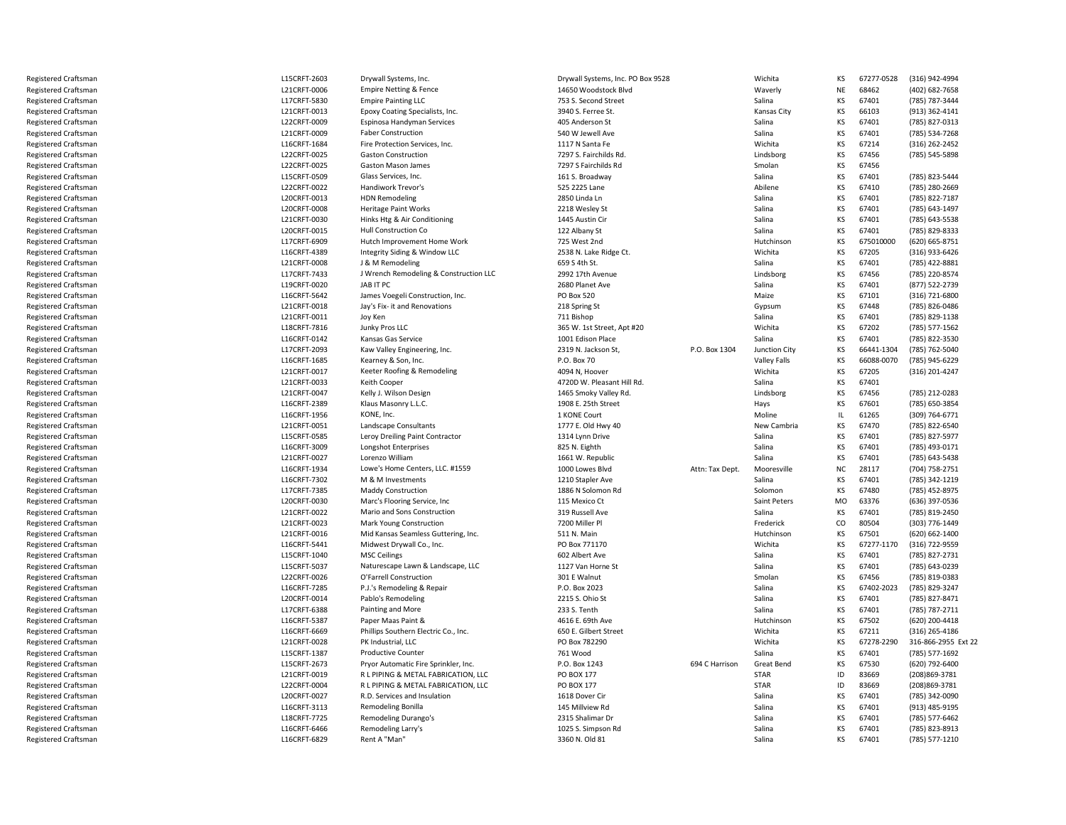Registered CraftsmanRegistered CraftsmanRegistered CraftsmanRegistered CraftsmanRegistered CraftsmanRegistered CraftsmanRegistered CraftsmanRegistered CraftsmanRegistered CraftsmanRegistered CraftsmanRegistered CraftsmanRegistered CraftsmanRegistered CraftsmanRegistered CraftsmanRegistered CraftsmanRegistered CraftsmanRegistered CraftsmanRegistered CraftsmanRegistered CraftsmanRegistered CraftsmanRegistered CraftsmanRegistered CraftsmanRegistered CraftsmanRegistered CraftsmanRegistered CraftsmanRegistered CraftsmanRegistered CraftsmanRegistered CraftsmanRegistered CraftsmanRegistered CraftsmanRegistered CraftsmanRegistered CraftsmanRegistered CraftsmanRegistered CraftsmanRegistered CraftsmanRegistered CraftsmanRegistered CraftsmanRegistered CraftsmanRegistered CraftsmanRegistered CraftsmanRegistered CraftsmanRegistered CraftsmanRegistered CraftsmanRegistered CraftsmanRegistered CraftsmanRegistered CraftsmanRegistered CraftsmanRegistered CraftsmanRegistered CraftsmanRegistered CraftsmanRegistered CraftsmanRegistered CraftsmanRegistered CraftsmanRegistered CraftsmanRegistered CraftsmanRegistered CraftsmanRegistered CraftsmanRegistered CraftsmanRegistered CraftsmanRegistered CraftsmanRegistered CraftsmanRegistered Craftsman

| L15CRFT-2603                 | Drywall Systems, Inc.                  | Drywall Systems, Inc. PO Box 9528    |                 | Wichita             | KS            | 67277-0528     | (316) 942-4994                   |
|------------------------------|----------------------------------------|--------------------------------------|-----------------|---------------------|---------------|----------------|----------------------------------|
| L21CRFT-0006                 | Empire Netting & Fence                 | 14650 Woodstock Blvd                 |                 | Waverly             | <b>NE</b>     | 68462          | (402) 682-7658                   |
| L17CRFT-5830                 | <b>Empire Painting LLC</b>             | 753 S. Second Street                 |                 | Salina              | KS            | 67401          | (785) 787-3444                   |
| L21CRFT-0013                 | Epoxy Coating Specialists, Inc.        | 3940 S. Ferree St.                   |                 | Kansas City         | KS            | 66103          | (913) 362-4141                   |
| L22CRFT-0009                 | Espinosa Handyman Services             | 405 Anderson St                      |                 | Salina              | KS            | 67401          | (785) 827-0313                   |
| L21CRFT-0009                 | <b>Faber Construction</b>              | 540 W Jewell Ave                     |                 | Salina              | KS            | 67401          | (785) 534-7268                   |
| L16CRFT-1684                 | Fire Protection Services, Inc.         | 1117 N Santa Fe                      |                 | Wichita             | KS            | 67214          | (316) 262-2452                   |
| L22CRFT-0025                 | <b>Gaston Construction</b>             | 7297 S. Fairchilds Rd.               |                 | Lindsborg           | KS            | 67456          | (785) 545-5898                   |
| L22CRFT-0025                 | Gaston Mason James                     | 7297 S Fairchilds Rd                 |                 | Smolan              | KS            | 67456          |                                  |
| L15CRFT-0509                 | Glass Services, Inc.                   | 161 S. Broadway                      |                 | Salina              | KS            | 67401          | (785) 823-5444                   |
| L22CRFT-0022                 | Handiwork Trevor's                     | 525 2225 Lane                        |                 | Abilene             | KS            | 67410          | (785) 280-2669                   |
| L20CRFT-0013                 | <b>HDN Remodeling</b>                  | 2850 Linda Ln                        |                 | Salina              | KS            | 67401          | (785) 822-7187                   |
| L20CRFT-0008                 | <b>Heritage Paint Works</b>            | 2218 Wesley St                       |                 | Salina              | KS            | 67401          | (785) 643-1497                   |
| L21CRFT-0030                 | Hinks Htg & Air Conditioning           | 1445 Austin Cir                      |                 | Salina              | KS            | 67401          | (785) 643-5538                   |
| L20CRFT-0015                 | Hull Construction Co                   | 122 Albany St                        |                 | Salina              | KS            | 67401          | (785) 829-8333                   |
| L17CRFT-6909                 | Hutch Improvement Home Work            | 725 West 2nd                         |                 | Hutchinson          | KS            | 675010000      | (620) 665-8751                   |
| L16CRFT-4389                 | Integrity Siding & Window LLC          | 2538 N. Lake Ridge Ct.               |                 | Wichita             | KS            | 67205          | (316) 933-6426                   |
| L21CRFT-0008                 | J & M Remodeling                       | 659 S 4th St.                        |                 | Salina              | KS            | 67401          | (785) 422-8881                   |
| L17CRFT-7433                 | J Wrench Remodeling & Construction LLC | 2992 17th Avenue                     |                 | Lindsborg           | KS            | 67456          | (785) 220-8574                   |
| L19CRFT-0020                 | JAB IT PC                              | 2680 Planet Ave                      |                 | Salina              | KS            | 67401          | (877) 522-2739                   |
| L16CRFT-5642                 | James Voegeli Construction, Inc.       | <b>PO Box 520</b>                    |                 | Maize               | KS            | 67101          | (316) 721-6800                   |
| L21CRFT-0018                 | Jay's Fix- it and Renovations          | 218 Spring St                        |                 | Gypsum              | KS            | 67448          | (785) 826-0486                   |
| L21CRFT-0011                 | Joy Ken                                | 711 Bishop                           |                 | Salina              | KS            | 67401          | (785) 829-1138                   |
| L18CRFT-7816                 | Junky Pros LLC                         | 365 W. 1st Street, Apt #20           |                 | Wichita             | KS            | 67202          | (785) 577-1562                   |
| L16CRFT-0142                 | Kansas Gas Service                     | 1001 Edison Place                    |                 | Salina              | KS            | 67401          | (785) 822-3530                   |
| L17CRFT-2093                 | Kaw Valley Engineering, Inc.           | 2319 N. Jackson St,                  | P.O. Box 1304   | Junction City       | KS            | 66441-1304     | (785) 762-5040                   |
| L16CRFT-1685                 | Kearney & Son, Inc.                    | P.O. Box 70                          |                 | <b>Valley Falls</b> | KS            | 66088-0070     | (785) 945-6229                   |
| L21CRFT-0017                 | Keeter Roofing & Remodeling            | 4094 N, Hoover                       |                 | Wichita             | KS            | 67205          | (316) 201-4247                   |
| L21CRFT-0033                 | Keith Cooper                           | 4720D W. Pleasant Hill Rd.           |                 | Salina              | KS            | 67401          |                                  |
| L21CRFT-0047                 | Kelly J. Wilson Design                 | 1465 Smoky Valley Rd.                |                 | Lindsborg           | KS            | 67456          | (785) 212-0283                   |
| L16CRFT-2389                 | Klaus Masonry L.L.C.                   | 1908 E. 25th Street                  |                 | Hays                | KS            | 67601          | (785) 650-3854                   |
| L16CRFT-1956                 | KONE, Inc.                             | 1 KONE Court                         |                 | Moline              | $\mathsf{IL}$ | 61265          | (309) 764-6771                   |
| L21CRFT-0051                 | Landscape Consultants                  | 1777 E. Old Hwy 40                   |                 | New Cambria         | KS            | 67470          | (785) 822-6540                   |
| L15CRFT-0585                 | Leroy Dreiling Paint Contractor        | 1314 Lynn Drive                      |                 | Salina              | KS            | 67401          | (785) 827-5977                   |
| L16CRFT-3009                 | Longshot Enterprises                   | 825 N. Eighth                        |                 | Salina              | KS            | 67401          | (785) 493-0171                   |
| L21CRFT-0027                 | Lorenzo William                        | 1661 W. Republic                     |                 | Salina              | KS            | 67401          | (785) 643-5438                   |
| L16CRFT-1934                 | Lowe's Home Centers, LLC. #1559        | 1000 Lowes Blvd                      | Attn: Tax Dept. | Mooresville         | <b>NC</b>     | 28117          | (704) 758-2751                   |
| L16CRFT-7302                 | M & M Investments                      | 1210 Stapler Ave                     |                 | Salina              | KS            | 67401          | (785) 342-1219                   |
| L17CRFT-7385                 | <b>Maddy Construction</b>              | 1886 N Solomon Rd                    |                 | Solomon             | KS            | 67480          | (785) 452-8975                   |
| L20CRFT-0030                 | Marc's Flooring Service, Inc.          | 115 Mexico Ct                        |                 | Saint Peters        | MO            | 63376          | (636) 397-0536                   |
| L21CRFT-0022                 | Mario and Sons Construction            | 319 Russell Ave                      |                 | Salina              | KS            | 67401          | (785) 819-2450                   |
| L21CRFT-0023                 | Mark Young Construction                | 7200 Miller Pl                       |                 | Frederick           | CO            | 80504          | (303) 776-1449                   |
| L21CRFT-0016                 | Mid Kansas Seamless Guttering, Inc.    | 511 N. Main                          |                 | Hutchinson          | KS            | 67501          | (620) 662-1400                   |
| L16CRFT-5441                 | Midwest Drywall Co., Inc.              | PO Box 771170                        |                 | Wichita             | KS            | 67277-1170     | (316) 722-9559                   |
| L15CRFT-1040                 | <b>MSC Ceilings</b>                    | 602 Albert Ave                       |                 | Salina              | KS            | 67401          | (785) 827-2731                   |
| L15CRFT-5037                 | Naturescape Lawn & Landscape, LLC      | 1127 Van Horne St                    |                 | Salina              | KS            | 67401          | (785) 643-0239                   |
| L22CRFT-0026                 | O'Farrell Construction                 | 301 E Walnut                         |                 | Smolan              | KS            | 67456          | (785) 819-0383                   |
| L16CRFT-7285                 | P.J.'s Remodeling & Repair             | P.O. Box 2023                        |                 | Salina              | KS            | 67402-2023     | (785) 829-3247                   |
| L20CRFT-0014                 | Pablo's Remodeling                     | 2215 S. Ohio St                      |                 | Salina              | KS            | 67401          | (785) 827-8471                   |
| L17CRFT-6388                 | Painting and More                      | 233 S. Tenth                         |                 | Salina              | KS            | 67401          | (785) 787-2711                   |
| L16CRFT-5387                 | Paper Maas Paint &                     | 4616 E. 69th Ave                     |                 | Hutchinson          | KS            | 67502          | (620) 200-4418                   |
| L16CRFT-6669                 | Phillips Southern Electric Co., Inc.   | 650 E. Gilbert Street                |                 | Wichita             | KS            | 67211          | (316) 265-4186                   |
| L21CRFT-0028                 | PK Industrial, LLC                     | PO Box 782290                        |                 | Wichita             | KS            | 67278-2290     | 316-866-2955 Ext 22              |
| L15CRFT-1387                 | <b>Productive Counter</b>              | 761 Wood                             |                 | Salina              | KS            | 67401          | (785) 577-1692                   |
| L15CRFT-2673                 | Pryor Automatic Fire Sprinkler, Inc.   | P.O. Box 1243                        | 694 C Harrison  | <b>Great Bend</b>   | KS            | 67530          | (620) 792-6400                   |
| L21CRFT-0019                 | R L PIPING & METAL FABRICATION, LLC    | PO BOX 177                           |                 | <b>STAR</b>         | ID            | 83669          | (208) 869-3781                   |
| L22CRFT-0004                 | R L PIPING & METAL FABRICATION, LLC    | PO BOX 177                           |                 | <b>STAR</b>         | ID            | 83669          | (208)869-3781                    |
| L20CRFT-0027                 | R.D. Services and Insulation           | 1618 Dover Cir                       |                 | Salina              | KS            | 67401          | (785) 342-0090                   |
| L16CRFT-3113                 | Remodeling Bonilla                     | 145 Millview Rd                      |                 | Salina              | KS            | 67401          | (913) 485-9195                   |
| L18CRFT-7725                 | Remodeling Durango's                   | 2315 Shalimar Dr                     |                 | Salina              | KS            | 67401          | (785) 577-6462                   |
|                              |                                        |                                      |                 |                     |               |                |                                  |
| L16CRFT-6466<br>L16CRFT-6829 | Remodeling Larry's<br>Rent A "Man"     | 1025 S. Simpson Rd<br>3360 N. Old 81 |                 | Salina<br>Salina    | KS<br>KS      | 67401<br>67401 | (785) 823-8913<br>(785) 577-1210 |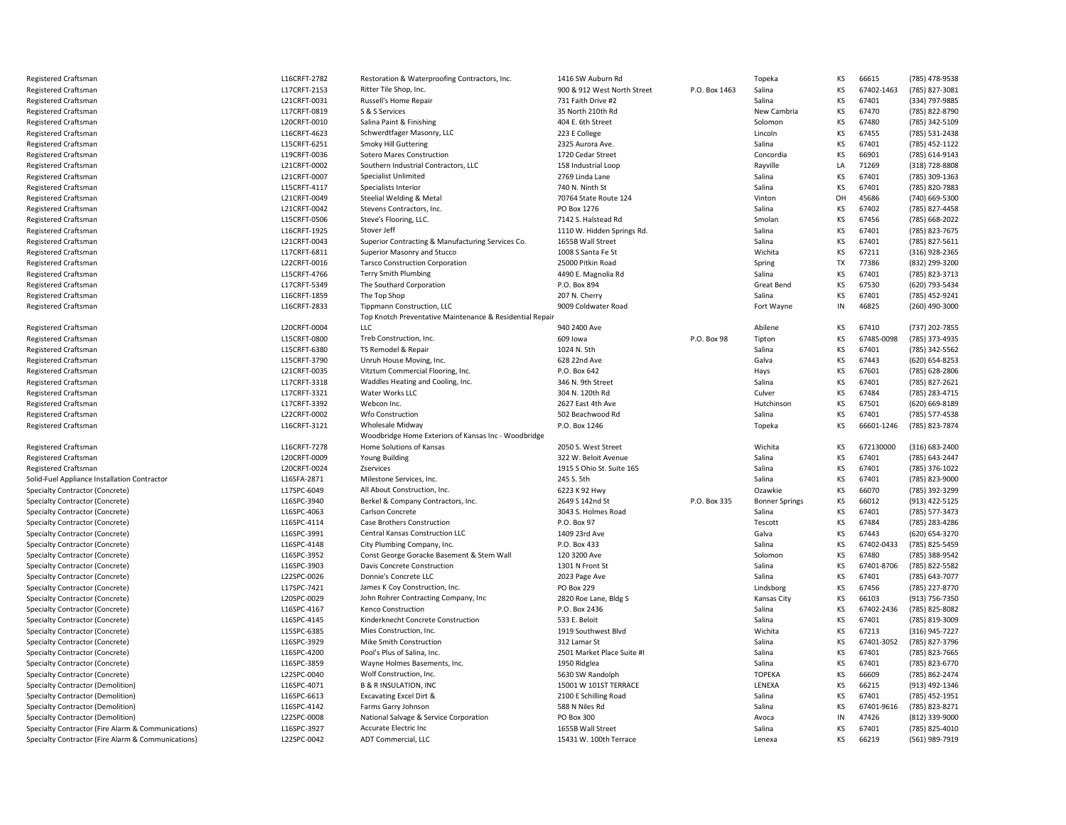| Registered Craftsman                                                                                     | L16CRFT-2782               | Restoration & Waterproofing Contractors, Inc.           | 1416 SW Auburn Rd                           |               | Topeka                | KS        | 66615          | (785) 478-9538                   |
|----------------------------------------------------------------------------------------------------------|----------------------------|---------------------------------------------------------|---------------------------------------------|---------------|-----------------------|-----------|----------------|----------------------------------|
| Registered Craftsman                                                                                     | L17CRFT-2153               | Ritter Tile Shop, Inc.                                  | 900 & 912 West North Street                 | P.O. Box 1463 | Salina                | KS        | 67402-1463     | (785) 827-3081                   |
| Registered Craftsman                                                                                     | L21CRFT-0031               | Russell's Home Repair                                   | 731 Faith Drive #2                          |               | Salina                | KS        | 67401          | (334) 797-9885                   |
| <b>Registered Craftsman</b>                                                                              | L17CRFT-0819               | S & S Services                                          | 35 North 210th Rd                           |               | New Cambria           | KS        | 67470          | (785) 822-8790                   |
| Registered Craftsman                                                                                     | L20CRFT-0010               | Salina Paint & Finishing                                | 404 E. 6th Street                           |               | Solomon               | KS        | 67480          | (785) 342-5109                   |
| Registered Craftsman                                                                                     | L16CRFT-4623               | Schwerdtfager Masonry, LLC                              | 223 E College                               |               | Lincoln               | KS        | 67455          | (785) 531-2438                   |
| Registered Craftsman                                                                                     | L15CRFT-6251               | <b>Smoky Hill Guttering</b>                             | 2325 Aurora Ave.                            |               | Salina                | KS        | 67401          | (785) 452-1122                   |
| <b>Registered Craftsman</b>                                                                              | L19CRFT-0036               | Sotero Mares Construction                               | 1720 Cedar Street                           |               | Concordia             | KS        | 66901          | (785) 614-9143                   |
| <b>Registered Craftsman</b>                                                                              | L21CRFT-0002               | Southern Industrial Contractors, LLC                    | 158 Industrial Loop                         |               | Rayville              | LA        | 71269          | (318) 728-8808                   |
| Registered Craftsman                                                                                     | L21CRFT-0007               | Specialist Unlimited                                    | 2769 Linda Lane                             |               | Salina                | KS        | 67401          | (785) 309-1363                   |
| Registered Craftsman                                                                                     | L15CRFT-4117               | Specialists Interior                                    | 740 N. Ninth St                             |               | Salina                | KS        | 67401          | (785) 820-7883                   |
| Registered Craftsman                                                                                     | L21CRFT-0049               | Steelial Welding & Metal                                | 70764 State Route 124                       |               | Vinton                | OH        | 45686          | (740) 669-5300                   |
| Registered Craftsman                                                                                     | L21CRFT-0042               | Stevens Contractors, Inc.                               | PO Box 1276                                 |               | Salina                | KS        | 67402          | (785) 827-4458                   |
| <b>Registered Craftsman</b>                                                                              | L15CRFT-0506               | Steve's Flooring, LLC.                                  | 7142 S. Halstead Rd                         |               | Smolan                | KS        | 67456          | (785) 668-2022                   |
| <b>Registered Craftsman</b>                                                                              | L16CRFT-1925               | Stover Jeff                                             | 1110 W. Hidden Springs Rd.                  |               | Salina                | KS        | 67401          | (785) 823-7675                   |
| Registered Craftsman                                                                                     | L21CRFT-0043               | Superior Contracting & Manufacturing Services Co.       | 1655B Wall Street                           |               | Salina                | KS        | 67401          | (785) 827-5611                   |
| Registered Craftsman                                                                                     | L17CRFT-6811               | Superior Masonry and Stucco                             | 1008 S Santa Fe St                          |               | Wichita               | KS        | 67211          | (316) 928-2365                   |
| Registered Craftsman                                                                                     | L22CRFT-0016               | <b>Tarsco Construction Corporation</b>                  | 25000 Pitkin Road                           |               | Spring                | <b>TX</b> | 77386          | (832) 299-3200                   |
| <b>Registered Craftsman</b>                                                                              | L15CRFT-4766               | <b>Terry Smith Plumbing</b>                             | 4490 E. Magnolia Rd                         |               | Salina                | KS        | 67401          | (785) 823-3713                   |
| Registered Craftsman                                                                                     | L17CRFT-5349               | The Southard Corporation                                | P.O. Box 894                                |               | Great Bend            | KS        | 67530          | (620) 793-5434                   |
| Registered Craftsman                                                                                     | L16CRFT-1859               | The Top Shop                                            | 207 N. Cherry                               |               | Salina                | KS        | 67401          | (785) 452-9241                   |
| Registered Craftsman                                                                                     | L16CRFT-2833               | Tippmann Construction, LLC                              | 9009 Coldwater Road                         |               | Fort Wayne            | IN        | 46825          | (260) 490-3000                   |
|                                                                                                          |                            | Top Knotch Preventative Maintenance & Residential Repai |                                             |               |                       |           |                |                                  |
| Registered Craftsman                                                                                     | L20CRFT-0004               | LLC                                                     | 940 2400 Ave                                |               | Abilene               | KS        | 67410          | (737) 202-7855                   |
| Registered Craftsman                                                                                     | L15CRFT-0800               | Treb Construction, Inc.                                 | 609 lowa                                    | P.O. Box 98   | Tipton                | KS        | 67485-0098     | (785) 373-4935                   |
| Registered Craftsman                                                                                     | L15CRFT-6380               | TS Remodel & Repair                                     | 1024 N. 5th                                 |               | Salina                | KS        | 67401          | (785) 342-5562                   |
| Registered Craftsman                                                                                     | L15CRFT-3790               | Unruh House Moving, Inc.                                | 628 22nd Ave                                |               | Galva                 | KS        | 67443          | (620) 654-8253                   |
| <b>Registered Craftsman</b>                                                                              | L21CRFT-0035               | Vitztum Commercial Flooring, Inc.                       | P.O. Box 642                                |               | Hays                  | KS        | 67601          | (785) 628-2806                   |
| Registered Craftsman                                                                                     | L17CRFT-3318               | Waddles Heating and Cooling, Inc.                       | 346 N. 9th Street                           |               | Salina                | KS        | 67401          | (785) 827-2621                   |
| <b>Registered Craftsman</b>                                                                              | L17CRFT-3321               | Water Works LLC                                         | 304 N. 120th Rd                             |               | Culver                | KS        | 67484          | (785) 283-4715                   |
| Registered Craftsman                                                                                     | L17CRFT-3392               | Webcon Inc.                                             | 2627 East 4th Ave                           |               | Hutchinson            | KS        | 67501          | (620) 669-8189                   |
| Registered Craftsman                                                                                     | L22CRFT-0002               | <b>Wfo Construction</b>                                 | 502 Beachwood Rd                            |               | Salina                | KS        | 67401          | (785) 577-4538                   |
| Registered Craftsman                                                                                     | L16CRFT-3121               | Wholesale Midway                                        | P.O. Box 1246                               |               | Topeka                | KS        | 66601-1246     | (785) 823-7874                   |
|                                                                                                          |                            | Woodbridge Home Exteriors of Kansas Inc - Woodbridge    |                                             |               |                       |           |                |                                  |
| Registered Craftsman                                                                                     | L16CRFT-7278               | Home Solutions of Kansas                                | 2050 S. West Street                         |               | Wichita               | KS        | 672130000      | (316) 683-2400                   |
|                                                                                                          | L20CRFT-0009               | Young Building                                          | 322 W. Beloit Avenue                        |               | Salina                | KS        | 67401          | (785) 643-2447                   |
| Registered Craftsman<br>Registered Craftsman                                                             | L20CRFT-0024               | Zservices                                               | 1915 S Ohio St. Suite 165                   |               | Salina                | KS        | 67401          | (785) 376-1022                   |
|                                                                                                          |                            |                                                         |                                             |               |                       |           |                |                                  |
|                                                                                                          |                            |                                                         |                                             |               |                       |           |                |                                  |
| Solid-Fuel Appliance Installation Contractor                                                             | L16SFA-2871                | Milestone Services, Inc.                                | 245 S. 5th                                  |               | Salina                | KS        | 67401          | (785) 823-9000                   |
| Specialty Contractor (Concrete)                                                                          | L17SPC-6049                | All About Construction, Inc.                            | 6223 K 92 Hwy                               |               | Ozawkie               | KS        | 66070          | (785) 392-3299                   |
| Specialty Contractor (Concrete)                                                                          | L16SPC-3940                | Berkel & Company Contractors, Inc.                      | 2649 S 142nd St                             | P.O. Box 335  | <b>Bonner Springs</b> | KS        | 66012          | (913) 422-5125                   |
| Specialty Contractor (Concrete)                                                                          | L16SPC-4063                | Carlson Concrete                                        | 3043 S. Holmes Road                         |               | Salina                | KS        | 67401          | (785) 577-3473                   |
| Specialty Contractor (Concrete)                                                                          | L16SPC-4114                | Case Brothers Construction                              | P.O. Box 97                                 |               | Tescott               | KS        | 67484          | (785) 283-4286                   |
| Specialty Contractor (Concrete)                                                                          | L16SPC-3991                | Central Kansas Construction LLC                         | 1409 23rd Ave                               |               | Galva                 | KS        | 67443          | (620) 654-3270                   |
| Specialty Contractor (Concrete)                                                                          | L16SPC-4148                | City Plumbing Company, Inc.                             | P.O. Box 433                                |               | Salina                | KS        | 67402-0433     | (785) 825-5459                   |
| Specialty Contractor (Concrete)                                                                          | L16SPC-3952                | Const George Goracke Basement & Stem Wall               | 120 3200 Ave                                |               | Solomon               | KS        | 67480          | (785) 388-9542                   |
| Specialty Contractor (Concrete)                                                                          | L16SPC-3903                | Davis Concrete Construction                             | 1301 N Front St                             |               | Salina                | KS        | 67401-8706     | (785) 822-5582                   |
| Specialty Contractor (Concrete)                                                                          | L22SPC-0026                | Donnie's Concrete LLC                                   | 2023 Page Ave                               |               | Salina                | KS        | 67401          | (785) 643-7077                   |
| Specialty Contractor (Concrete)                                                                          | L17SPC-7421                | James K Coy Construction, Inc.                          | <b>PO Box 229</b>                           |               | Lindsborg             | KS        | 67456          | (785) 227-8770                   |
| Specialty Contractor (Concrete)                                                                          | L20SPC-0029                | John Rohrer Contracting Company, Inc                    | 2820 Roe Lane, Bldg S                       |               | Kansas City           | KS        | 66103          | (913) 756-7350                   |
| Specialty Contractor (Concrete)                                                                          | L16SPC-4167                | Kenco Construction                                      | P.O. Box 2436                               |               | Salina                | KS        | 67402-2436     | (785) 825-8082                   |
| Specialty Contractor (Concrete)                                                                          | L16SPC-4145                | Kinderknecht Concrete Construction                      | 533 E. Beloit                               |               | Salina                | KS        | 67401          | (785) 819-3009                   |
| Specialty Contractor (Concrete)                                                                          | L15SPC-6385                | Mies Construction, Inc.                                 | 1919 Southwest Blvd                         |               | Wichita               | KS        | 67213          | (316) 945-7227                   |
| Specialty Contractor (Concrete)                                                                          | L16SPC-3929                | Mike Smith Construction                                 | 312 Lamar St                                |               | Salina                | KS        | 67401-3052     | (785) 827-3796                   |
| Specialty Contractor (Concrete)                                                                          | L16SPC-4200                | Pool's Plus of Salina, Inc.                             | 2501 Market Place Suite #I                  |               | Salina                | KS        | 67401          | (785) 823-7665                   |
| Specialty Contractor (Concrete)                                                                          | L16SPC-3859                | Wayne Holmes Basements, Inc.                            | 1950 Ridglea                                |               | Salina                | KS        | 67401          | (785) 823-6770                   |
| Specialty Contractor (Concrete)                                                                          | L22SPC-0040                | Wolf Construction, Inc.                                 | 5630 SW Randolph                            |               | <b>TOPEKA</b>         | KS        | 66609          | (785) 862-2474                   |
| Specialty Contractor (Demolition)                                                                        | L16SPC-4071                | <b>B &amp; R INSULATION, INC</b>                        | 15001 W 101ST TERRACE                       |               | LENEXA                | KS        | 66215          | (913) 492-1346                   |
| Specialty Contractor (Demolition)                                                                        | L16SPC-6613                | Excavating Excel Dirt &                                 | 2100 E Schilling Road                       |               | Salina                | KS        | 67401          | (785) 452-1951                   |
| Specialty Contractor (Demolition)                                                                        | L16SPC-4142                | Farms Garry Johnson                                     | 588 N Niles Rd                              |               | Salina                | KS        | 67401-9616     | (785) 823-8271                   |
| Specialty Contractor (Demolition)                                                                        | L22SPC-0008                | National Salvage & Service Corporation                  | PO Box 300                                  |               | Avoca                 | IN        | 47426          | (812) 339-9000                   |
| Specialty Contractor (Fire Alarm & Communications)<br>Specialty Contractor (Fire Alarm & Communications) | L16SPC-3927<br>L22SPC-0042 | <b>Accurate Electric Inc</b><br>ADT Commercial, LLC     | 1655B Wall Street<br>15431 W. 100th Terrace |               | Salina<br>Lenexa      | KS<br>KS  | 67401<br>66219 | (785) 825-4010<br>(561) 989-7919 |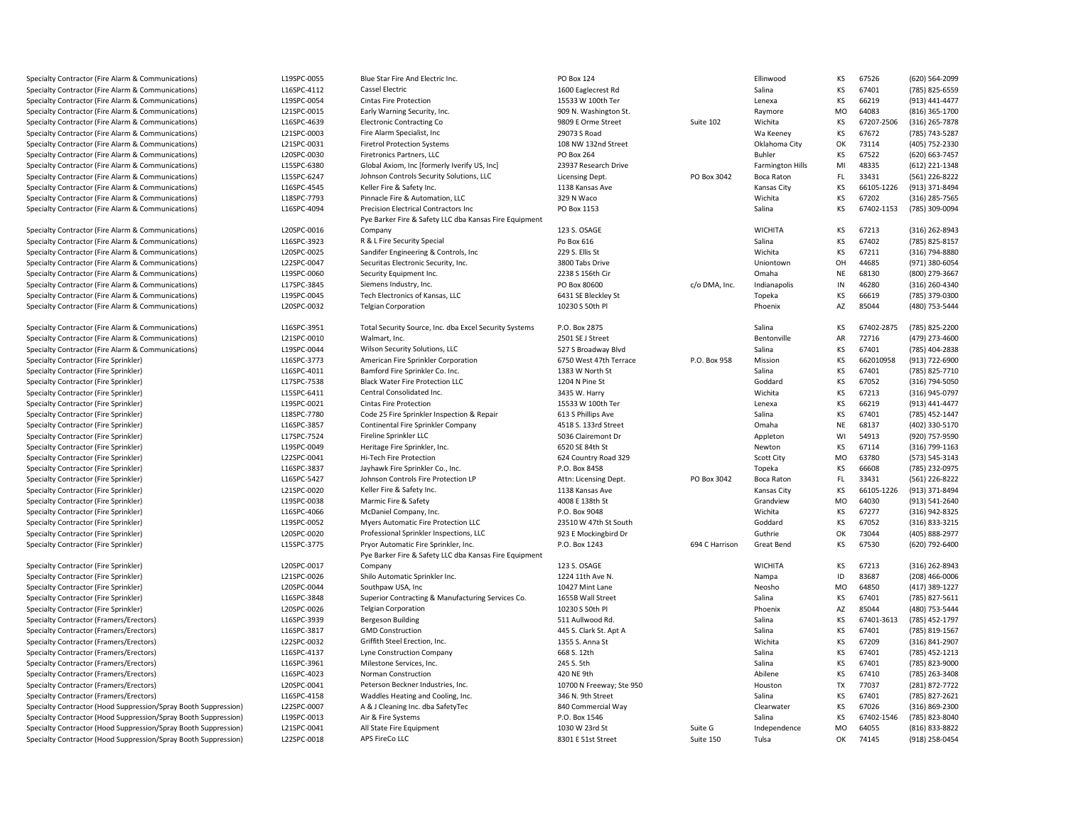Specialty Contractor (Fire Alarm & Communications) Specialty Contractor (Fire Alarm & Communications) Specialty Contractor (Fire Alarm & Communications) Specialty Contractor (Fire Alarm & Communications) Specialty Contractor (Fire Alarm & Communications) Specialty Contractor (Fire Alarm & Communications) Specialty Contractor (Fire Alarm & Communications) Specialty Contractor (Fire Alarm & Communications) Specialty Contractor (Fire Alarm & Communications) Specialty Contractor (Fire Alarm & Communications) Specialty Contractor (Fire Alarm & Communications) Specialty Contractor (Fire Alarm & Communications) Specialty Contractor (Fire Alarm & Communications)

Specialty Contractor (Fire Alarm & Communications) Specialty Contractor (Fire Alarm & Communications) Specialty Contractor (Fire Alarm & Communications) Specialty Contractor (Fire Alarm & Communications) Specialty Contractor (Fire Alarm & Communications) Specialty Contractor (Fire Alarm & Communications) Specialty Contractor (Fire Alarm & Communications) Specialty Contractor (Fire Alarm & Communications)

Specialty Contractor (Fire Alarm & Communications) Specialty Contractor (Fire Alarm & Communications) Specialty Contractor (Fire Alarm & Communications) Specialty Contractor (Fire Sprinkler)Specialty Contractor (Fire Sprinkler)Specialty Contractor (Fire Sprinkler)Specialty Contractor (Fire Sprinkler)Specialty Contractor (Fire Sprinkler)Specialty Contractor (Fire Sprinkler)Specialty Contractor (Fire Sprinkler)Specialty Contractor (Fire Sprinkler)Specialty Contractor (Fire Sprinkler)Specialty Contractor (Fire Sprinkler)Specialty Contractor (Fire Sprinkler)Specialty Contractor (Fire Sprinkler)Specialty Contractor (Fire Sprinkler)Specialty Contractor (Fire Sprinkler)Specialty Contractor (Fire Sprinkler)Specialty Contractor (Fire Sprinkler)Specialty Contractor (Fire Sprinkler)Specialty Contractor (Fire Sprinkler)

Specialty Contractor (Fire Sprinkler)Specialty Contractor (Fire Sprinkler)Specialty Contractor (Fire Sprinkler)Specialty Contractor (Fire Sprinkler)Specialty Contractor (Fire Sprinkler)Specialty Contractor (Framers/Erectors) Specialty Contractor (Framers/Erectors) Specialty Contractor (Framers/Erectors) Specialty Contractor (Framers/Erectors) Specialty Contractor (Framers/Erectors) Specialty Contractor (Framers/Erectors) Specialty Contractor (Framers/Erectors) Specialty Contractor (Framers/Erectors) Specialty Contractor (Hood Suppression/Spray Booth Suppression)

Specialty Contractor (Hood Suppression/Spray Booth Suppression) Specialty Contractor (Hood Suppression/Spray Booth Suppression) Specialty Contractor (Hood Suppression/Spray Booth Suppression)

| Communications)                          | L19SPC-0055 | Blue Star Fire And Electric Inc.                       | PO Box 124               |                | Ellinwood               | KS              | 67526               | (620) 564-2099 |
|------------------------------------------|-------------|--------------------------------------------------------|--------------------------|----------------|-------------------------|-----------------|---------------------|----------------|
| Communications)                          | L16SPC-4112 | <b>Cassel Electric</b>                                 | 1600 Eaglecrest Rd       |                | Salina                  | KS              | 67401               | (785) 825-6559 |
| Communications)                          | L19SPC-0054 | <b>Cintas Fire Protection</b>                          | 15533 W 100th Ter        |                | Lenexa                  | KS              | 66219               | (913) 441-4477 |
| Communications)                          | L21SPC-0015 | Early Warning Security, Inc.                           | 909 N. Washington St.    |                | Raymore                 | <b>MO</b>       | 64083               | (816) 365-1700 |
| Communications)                          | L16SPC-4639 | <b>Electronic Contracting Co</b>                       | 9809 E Orme Street       | Suite 102      | Wichita                 | KS              | 67207-2506          | (316) 265-7878 |
| Communications)                          | L21SPC-0003 | Fire Alarm Specialist, Inc                             | 29073 S Road             |                | Wa Keeney               | KS              | 67672               | (785) 743-5287 |
| Communications)                          | L21SPC-0031 | <b>Firetrol Protection Systems</b>                     | 108 NW 132nd Street      |                | Oklahoma City           | OK              | 73114               | (405) 752-2330 |
| Communications)                          | L20SPC-0030 | Firetronics Partners, LLC                              | <b>PO Box 264</b>        |                | Buhler                  | KS              | 67522               | (620) 663-7457 |
| Communications)                          | L15SPC-6380 | Global Axiom, Inc [formerly Iverify US, Inc]           | 23937 Research Drive     |                | <b>Farmington Hills</b> | MI              | 48335               | (612) 221-1348 |
| Communications)                          | L15SPC-6247 | Johnson Controls Security Solutions, LLC               | Licensing Dept.          | PO Box 3042    | Boca Raton              | FL.             | 33431               | (561) 226-8222 |
| Communications)                          | L16SPC-4545 | Keller Fire & Safety Inc.                              | 1138 Kansas Ave          |                | Kansas City             | ΚS              | 66105-1226          | (913) 371-8494 |
| Communications)                          | L18SPC-7793 | Pinnacle Fire & Automation, LLC                        | 329 N Waco               |                | Wichita                 | KS              | 67202               | (316) 285-7565 |
| Communications)                          | L16SPC-4094 | Precision Electrical Contractors Inc                   | PO Box 1153              |                | Salina                  | KS              | 67402-1153          | (785) 309-0094 |
|                                          |             | Pye Barker Fire & Safety LLC dba Kansas Fire Equipment |                          |                |                         |                 |                     |                |
| Communications)                          | L20SPC-0016 | Company                                                | 123 S. OSAGE             |                | <b>WICHITA</b>          | KS              | 67213               | (316) 262-8943 |
| Communications)                          | L16SPC-3923 | R & L Fire Security Special                            | Po Box 616               |                | Salina                  | KS              | 67402               | (785) 825-8157 |
| Communications)                          | L20SPC-0025 | Sandifer Engineering & Controls, Inc                   | 229 S. Ellis St          |                | Wichita                 | KS              | 67211               | (316) 794-8880 |
| Communications)                          | L22SPC-0047 | Securitas Electronic Security, Inc.                    | 3800 Tabs Drive          |                | Uniontown               | OH              | 44685               | (971) 380-6054 |
| Communications)                          | L19SPC-0060 | Security Equipment Inc.                                | 2238 S 156th Cir         |                | Omaha                   | <b>NE</b>       | 68130               | (800) 279-3667 |
| Communications)                          | L17SPC-3845 | Siemens Industry, Inc.                                 | PO Box 80600             | c/o DMA, Inc.  | Indianapolis            | IN              | 46280               | (316) 260-4340 |
| Communications)                          | L19SPC-0045 | Tech Electronics of Kansas, LLC                        | 6431 SE Bleckley St      |                | Topeka                  | KS              | 66619               | (785) 379-0300 |
| Communications)                          | L20SPC-0032 | <b>Telgian Corporation</b>                             | 10230 S 50th P           |                | Phoenix                 | AZ              | 85044               | (480) 753-5444 |
|                                          |             |                                                        |                          |                |                         |                 |                     |                |
| Communications)                          | L16SPC-3951 | Total Security Source, Inc. dba Excel Security Systems | P.O. Box 2875            |                | Salina                  | КS              | 67402-2875          | (785) 825-2200 |
|                                          |             |                                                        |                          |                |                         |                 |                     |                |
| Communications)                          | L21SPC-0010 | Walmart, Inc.                                          | 2501 SE J Street         |                | Bentonville             | AR              | 72716               | (479) 273-4600 |
| Communications)                          | L19SPC-0044 | Wilson Security Solutions, LLC                         | 527 S Broadway Blvd      |                | Salina                  | KS              | 67401               | (785) 404-2838 |
|                                          | L16SPC-3773 | American Fire Sprinkler Corporation                    | 6750 West 47th Terrace   | P.O. Box 958   | Mission                 | KS              | 662010958           | (913) 722-6900 |
|                                          | L16SPC-4011 | Bamford Fire Sprinkler Co. Inc.                        | 1383 W North St          |                | Salina                  | KS              | 67401               | (785) 825-7710 |
|                                          | L17SPC-7538 | <b>Black Water Fire Protection LLC</b>                 | 1204 N Pine St           |                | Goddard                 | KS              | 67052               | (316) 794-5050 |
|                                          | L15SPC-6411 | Central Consolidated Inc.                              | 3435 W. Harry            |                | Wichita                 | KS              | 67213               | (316) 945-0797 |
|                                          | L19SPC-0021 | <b>Cintas Fire Protection</b>                          | 15533 W 100th Ter        |                | Lenexa                  | KS              | 66219               | (913) 441-4477 |
|                                          | L18SPC-7780 | Code 25 Fire Sprinkler Inspection & Repair             | 613 S Phillips Ave       |                | Salina                  | KS              | 67401               | (785) 452-1447 |
|                                          | L16SPC-3857 | Continental Fire Sprinkler Company                     | 4518 S. 133rd Street     |                | Omaha                   | NE              | 68137               | (402) 330-5170 |
|                                          | L17SPC-7524 | Fireline Sprinkler LLC                                 | 5036 Clairemont Dr       |                | Appleton                | WI              | 54913               | (920) 757-9590 |
|                                          | L19SPC-0049 | Heritage Fire Sprinkler, Inc.                          | 6520 SE 84th St          |                | Newton                  | KS              | 67114               | (316) 799-1163 |
|                                          | L22SPC-0041 | Hi-Tech Fire Protection                                | 624 Country Road 329     |                | <b>Scott City</b>       | <b>MO</b>       | 63780               | (573) 545-3143 |
|                                          | L16SPC-3837 | Jayhawk Fire Sprinkler Co., Inc.                       | P.O. Box 8458            |                | Topeka                  | KS              | 66608               | (785) 232-0975 |
|                                          | L16SPC-5427 | Johnson Controls Fire Protection LP                    | Attn: Licensing Dept.    | PO Box 3042    | Boca Raton              | FL              | 33431               | (561) 226-8222 |
|                                          | L21SPC-0020 | Keller Fire & Safety Inc.                              | 1138 Kansas Ave          |                | Kansas City             | KS              | 66105-1226          | (913) 371-8494 |
|                                          | L19SPC-0038 | Marmic Fire & Safety                                   | 4008 E 138th St          |                | Grandview               | <b>MO</b>       | 64030               | (913) 541-2640 |
|                                          | L16SPC-4066 | McDaniel Company, Inc.                                 | P.O. Box 9048            |                | Wichita                 | KS              | 67277               | (316) 942-8325 |
|                                          | L19SPC-0052 | Myers Automatic Fire Protection LLC                    | 23510 W 47th St South    |                | Goddard                 | KS              | 67052               | (316) 833-3215 |
|                                          | L20SPC-0020 | Professional Sprinkler Inspections, LLC                | 923 E Mockingbird Dr     |                | Guthrie                 | OK              | 73044               | (405) 888-2977 |
|                                          | L15SPC-3775 | Pryor Automatic Fire Sprinkler, Inc.                   | P.O. Box 1243            | 694 C Harrison | Great Bend              | KS              | 67530               | (620) 792-6400 |
|                                          |             | Pye Barker Fire & Safety LLC dba Kansas Fire Equipment |                          |                |                         |                 |                     |                |
|                                          | L20SPC-0017 | Company                                                | 123 S. OSAGE             |                | <b>WICHITA</b>          | KS              | 67213               | (316) 262-8943 |
|                                          | L21SPC-0026 | Shilo Automatic Sprinkler Inc.                         | 1224 11th Ave N.         |                | Nampa                   | ID              | 83687               | (208) 466-0006 |
|                                          | L20SPC-0044 | Southpaw USA, Inc                                      | 10427 Mint Lane          |                | Neosho                  | <b>MO</b>       | 64850               | (417) 389-1227 |
|                                          | L16SPC-3848 | Superior Contracting & Manufacturing Services Co.      | 1655B Wall Street        |                | Salina                  | KS              | 67401               | (785) 827-5611 |
|                                          | L20SPC-0026 | <b>Telgian Corporation</b>                             | 10230 S 50th Pl          |                | Phoenix                 | AZ              | 85044               | (480) 753-5444 |
| :tors)                                   | L16SPC-3939 | <b>Bergeson Building</b>                               | 511 Aullwood Rd.         |                | Salina                  | KS              | 67401-3613          | (785) 452-1797 |
| tors):                                   | L16SPC-3817 | <b>GMD Construction</b>                                | 445 S. Clark St. Apt A   |                | Salina                  | KS              | 67401               | (785) 819-1567 |
| tors):                                   | L22SPC-0032 | Griffith Steel Erection, Inc.                          | 1355 S. Anna St          |                | Wichita                 | KS              | 67209               | (316) 841-2907 |
| tors):                                   | L16SPC-4137 | Lyne Construction Company                              | 668 S. 12th              |                | Salina                  | KS              | 67401               | (785) 452-1213 |
|                                          | L16SPC-3961 | Milestone Services, Inc.                               | 245 S. 5th               |                | Salina                  | KS              | 67401               | (785) 823-9000 |
| :tors)                                   | L16SPC-4023 | Norman Construction                                    | 420 NE 9th               |                | Abilene                 | KS              | 67410               | (785) 263-3408 |
| :tors)                                   | L20SPC-0041 | Peterson Beckner Industries, Inc.                      | 10700 N Freeway; Ste 950 |                | Houston                 | <b>TX</b>       | 77037               | (281) 872-7722 |
| tors):                                   | L16SPC-4158 | Waddles Heating and Cooling, Inc.                      | 346 N. 9th Street        |                | Salina                  | KS              | 67401               | (785) 827-2621 |
| tors):<br>ssion/Spray Booth Suppression) | L22SPC-0007 |                                                        | 840 Commercial Way       |                | Clearwater              | KS              | 67026               | (316) 869-2300 |
|                                          |             | A & J Cleaning Inc. dba SafetyTec                      |                          |                |                         |                 |                     |                |
| ssion/Spray Booth Suppression)           | L19SPC-0013 | Air & Fire Systems                                     | P.O. Box 1546            |                | Salina                  | KS<br><b>MO</b> | 67402-1546<br>64055 | (785) 823-8040 |
| ssion/Spray Booth Suppression)           | L21SPC-0041 | All State Fire Equipment                               | 1030 W 23rd St           | Suite G        | Independence            |                 |                     | (816) 833-8822 |
| ssion/Spray Booth Suppression)           | L22SPC-0018 | APS FireCo LLC                                         | 8301 E 51st Street       | Suite 150      | Tulsa                   | ОK              | 74145               | (918) 258-0454 |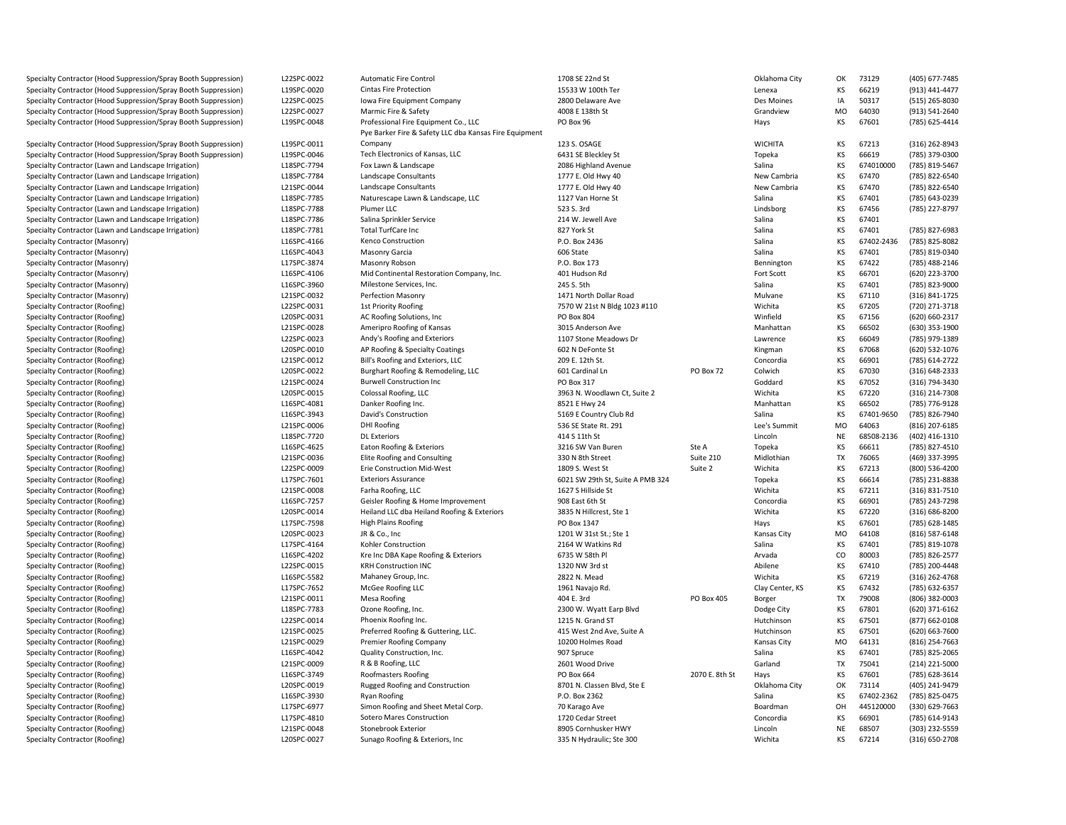Specialty Contractor (Hood Suppression/Spray Booth Suppression) Specialty Contractor (Hood Suppression/Spray Booth Suppression) Specialty Contractor (Hood Suppression/Spray Booth Suppression) Specialty Contractor (Hood Suppression/Spray Booth Suppression) Specialty Contractor (Hood Suppression/Spray Booth Suppression)

Specialty Contractor (Hood Suppression/Spray Booth Suppression) Specialty Contractor (Hood Suppression/Spray Booth Suppression) Specialty Contractor (Lawn and Landscape Irrigation) Specialty Contractor (Lawn and Landscape Irrigation) Specialty Contractor (Lawn and Landscape Irrigation) Specialty Contractor (Lawn and Landscape Irrigation) Specialty Contractor (Lawn and Landscape Irrigation) Specialty Contractor (Lawn and Landscape Irrigation) Specialty Contractor (Lawn and Landscape Irrigation) Specialty Contractor (Masonry) $L16$ SPC-4166 Specialty Contractor (Masonry) $\blacksquare$ ) Specialty Contractor (Masonry)) L17SPC-3874 Specialty Contractor (Masonry)(a) the contract of the contract of the contract of the contract of the contract of the contract of the contract of the contract of the contract of the contract of the contract of the contract of the contract of the contra Specialty Contractor (Masonry) $\blacksquare$ ) Specialty Contractor (Masonry) $L21$ SPC-0032 Specialty Contractor (Roofing) $L22$ SPC-0031 Specialty Contractor (Roofing) $L20$ SPC-0031 Specialty Contractor (Roofing) $L21$ SPC-0028 Specialty Contractor (Roofing) $\blacksquare$ ) Specialty Contractor (Roofing) $\blacksquare$ ) Specialty Contractor (Roofing) $\blacksquare$ ) Specialty Contractor (Roofing) $\blacksquare$ ) Specialty Contractor (Roofing) $L21$ SPC-0024 Specialty Contractor (Roofing) $L20$ SPC-0015 Specialty Contractor (Roofing) $L16$ SPC-4081 Specialty Contractor (Roofing) $L16SPC-3943$ Specialty Contractor (Roofing) $L21$ SPC-0006 Specialty Contractor (Roofing) L18SPC7720Specialty Contractor (Roofing)(a)  $\sim$  L16SPC-4625 Specialty Contractor (Roofing) $L21$ SPC-0036 Specialty Contractor (Roofing) $L22$ SPC-0009 Specialty Contractor (Roofing)(a) the contract of the contract of the contract of the contract of the contract of the contract of the contract of the contract of the contract of the contract of the contract of the contract of the contract of the contra Specialty Contractor (Roofing) $L21$ SPC-0008 Specialty Contractor (Roofing) L16SPC7257Specialty Contractor (Roofing) $\blacksquare$ ) Specialty Contractor (Roofing)) L17SPC-7598 Specialty Contractor (Roofing) $\blacksquare$ ) Specialty Contractor (Roofing) $\blacksquare$ ) Specialty Contractor (Roofing)(a) the contract of the contract of the contract of the contract of the contract of the contract of the contract of the contract of the contract of the contract of the contract of the contract of the contract of the contra Specialty Contractor (Roofing) $L22SPC-0015$ Specialty Contractor (Roofing) $\blacksquare$ ) Specialty Contractor (Roofing) $L17$ SPC-7652 Specialty Contractor (Roofing) $\blacksquare$ ) Specialty Contractor (Roofing) L18SPC7783Specialty Contractor (Roofing) $L22$ SPC-0014 Specialty Contractor (Roofing) $L21$ SPC-0025 Specialty Contractor (Roofing) $L21$ SPC-0029 Specialty Contractor (Roofing) $L16$ SPC-4042 Specialty Contractor (Roofing) $L21$ SPC-0009 Specialty Contractor (Roofing) $L16$ SPC-3749 Specialty Contractor (Roofing) $\blacksquare$ ) Specialty Contractor (Roofing) $L16$ SPC-3930 Specialty Contractor (Roofing) $\blacksquare$ ) Specialty Contractor (Roofing)) L17SPC-4810 Specialty Contractor (Roofing) $L21$ SPC-0048 Specialty Contractor (Roofing)

| L22SPC-0022 | <b>Automatic Fire Control</b>                          | 1708 SE 22nd St                  |                   | Oklahoma City     | ОК        | 73129      | (405) 677-7485 |
|-------------|--------------------------------------------------------|----------------------------------|-------------------|-------------------|-----------|------------|----------------|
| L19SPC-0020 | Cintas Fire Protection                                 | 15533 W 100th Ter                |                   | Lenexa            | ΚS        | 66219      | (913) 441-4477 |
| L22SPC-0025 | Iowa Fire Equipment Company                            | 2800 Delaware Ave                |                   | Des Moines        | IA        | 50317      | (515) 265-8030 |
| L22SPC-0027 | Marmic Fire & Safety                                   | 4008 E 138th St                  |                   | Grandview         | <b>MO</b> | 64030      | (913) 541-2640 |
| L19SPC-0048 | Professional Fire Equipment Co., LLC                   | PO Box 96                        |                   | Hays              | KS        | 67601      | (785) 625-4414 |
|             | Pye Barker Fire & Safety LLC dba Kansas Fire Equipment |                                  |                   |                   |           |            |                |
| L19SPC-0011 | Company                                                | 123 S. OSAGE                     |                   | <b>WICHITA</b>    | КS        | 67213      | (316) 262-8943 |
| L19SPC-0046 | Tech Electronics of Kansas, LLC                        | 6431 SE Bleckley St              |                   | Topeka            | KS        | 66619      | (785) 379-0300 |
| L18SPC-7794 | Fox Lawn & Landscape                                   | 2086 Highland Avenue             |                   | Salina            | KS        | 674010000  | (785) 819-5467 |
| L18SPC-7784 | Landscape Consultants                                  | 1777 E. Old Hwy 40               |                   | New Cambria       | KS        | 67470      | (785) 822-6540 |
| L21SPC-0044 | Landscape Consultants                                  | 1777 E. Old Hwy 40               |                   | New Cambria       | KS        | 67470      | (785) 822-6540 |
| L18SPC-7785 | Naturescape Lawn & Landscape, LLC                      | 1127 Van Horne St                |                   | Salina            | KS        | 67401      | (785) 643-0239 |
| L18SPC-7788 | Plumer LLC                                             | 523 S. 3rd                       |                   | Lindsborg         | KS        | 67456      | (785) 227-8797 |
|             |                                                        |                                  |                   |                   | KS        | 67401      |                |
| L18SPC-7786 | Salina Sprinkler Service<br><b>Total TurfCare Inc</b>  | 214 W. Jewell Ave                |                   | Salina<br>Salina  | KS        | 67401      |                |
| L18SPC-7781 |                                                        | 827 York St                      |                   |                   |           |            | (785) 827-6983 |
| L16SPC-4166 | Kenco Construction                                     | P.O. Box 2436                    |                   | Salina            | KS        | 67402-2436 | (785) 825-8082 |
| L16SPC-4043 | Masonry Garcia                                         | 606 State                        |                   | Salina            | KS        | 67401      | (785) 819-0340 |
| L17SPC-3874 | Masonry Robson                                         | P.O. Box 173                     |                   | Bennington        | KS        | 67422      | (785) 488-2146 |
| L16SPC-4106 | Mid Continental Restoration Company, Inc.              | 401 Hudson Rd                    |                   | Fort Scott        | KS        | 66701      | (620) 223-3700 |
| L16SPC-3960 | Milestone Services, Inc.                               | 245 S. 5th                       |                   | Salina            | KS        | 67401      | (785) 823-9000 |
| L21SPC-0032 | Perfection Masonry                                     | 1471 North Dollar Road           |                   | Mulvane           | KS        | 67110      | (316) 841-1725 |
| L22SPC-0031 | 1st Priority Roofing                                   | 7570 W 21st N Bldg 1023 #110     |                   | Wichita           | KS        | 67205      | (720) 271-3718 |
| L20SPC-0031 | AC Roofing Solutions, Inc.                             | PO Box 804                       |                   | Winfield          | KS        | 67156      | (620) 660-2317 |
| L21SPC-0028 | Ameripro Roofing of Kansas                             | 3015 Anderson Ave                |                   | Manhattan         | KS        | 66502      | (630) 353-1900 |
| L22SPC-0023 | Andy's Roofing and Exteriors                           | 1107 Stone Meadows Dr            |                   | Lawrence          | KS        | 66049      | (785) 979-1389 |
| L20SPC-0010 | AP Roofing & Specialty Coatings                        | 602 N DeFonte St                 |                   | Kingman           | KS        | 67068      | (620) 532-1076 |
| L21SPC-0012 | Bill's Roofing and Exteriors, LLC                      | 209 E. 12th St.                  |                   | Concordia         | KS        | 66901      | (785) 614-2722 |
| L20SPC-0022 | Burghart Roofing & Remodeling, LLC                     | 601 Cardinal Ln                  | PO Box 72         | Colwich           | KS        | 67030      | (316) 648-2333 |
| L21SPC-0024 | <b>Burwell Construction Inc</b>                        | PO Box 317                       |                   | Goddard           | KS        | 67052      | (316) 794-3430 |
| L20SPC-0015 | Colossal Roofing, LLC                                  | 3963 N. Woodlawn Ct, Suite 2     |                   | Wichita           | KS        | 67220      | (316) 214-7308 |
| L16SPC-4081 | Danker Roofing Inc.                                    | 8521 E Hwy 24                    |                   | Manhattan         | KS        | 66502      | (785) 776-9128 |
| L16SPC-3943 | David's Construction                                   | 5169 E Country Club Rd           |                   | Salina            | KS        | 67401-9650 | (785) 826-7940 |
| L21SPC-0006 | <b>DHI Roofing</b>                                     | 536 SE State Rt. 291             |                   | Lee's Summit      | MO        | 64063      | (816) 207-6185 |
| L18SPC-7720 | <b>DL Exteriors</b>                                    | 414 S 11th St                    |                   | Lincoln           | <b>NE</b> | 68508-2136 | (402) 416-1310 |
| L16SPC-4625 | Eaton Roofing & Exteriors                              | 3216 SW Van Buren                | Ste A             | Topeka            | KS        | 66611      | (785) 827-4510 |
| L21SPC-0036 | Elite Roofing and Consulting                           | 330 N 8th Street                 | Suite 210         | Midlothian        | TX        | 76065      | (469) 337-3995 |
| L22SPC-0009 | Erie Construction Mid-West                             | 1809 S. West St                  | Suite 2           | Wichita           | KS        | 67213      | (800) 536-4200 |
| L17SPC-7601 | <b>Exteriors Assurance</b>                             | 6021 SW 29th St, Suite A PMB 324 |                   | Topeka            | KS        | 66614      | (785) 231-8838 |
| L21SPC-0008 | Farha Roofing, LLC                                     | 1627 S Hillside St               |                   | Wichita           | <b>KS</b> | 67211      | (316) 831-7510 |
| L16SPC-7257 | Geisler Roofing & Home Improvement                     | 908 East 6th St                  |                   | Concordia         | KS        | 66901      | (785) 243-7298 |
| L20SPC-0014 | Heiland LLC dba Heiland Roofing & Exteriors            | 3835 N Hillcrest, Ste 1          |                   | Wichita           | <b>KS</b> | 67220      | (316) 686-8200 |
| L17SPC-7598 | <b>High Plains Roofing</b>                             | PO Box 1347                      |                   | Hays              | KS        | 67601      | (785) 628-1485 |
| L20SPC-0023 | JR & Co., Inc                                          | 1201 W 31st St.; Ste 1           |                   | Kansas City       | <b>MO</b> | 64108      | (816) 587-6148 |
| L17SPC-4164 | Kohler Construction                                    | 2164 W Watkins Rd                |                   | Salina            | KS        | 67401      | (785) 819-1078 |
|             |                                                        |                                  |                   |                   | CO        | 80003      |                |
| L16SPC-4202 | Kre Inc DBA Kape Roofing & Exteriors                   | 6735 W 58th Pl                   |                   | Arvada<br>Abilene |           | 67410      | (785) 826-2577 |
| L22SPC-0015 | <b>KRH Construction INC</b>                            | 1320 NW 3rd st                   |                   |                   | KS        |            | (785) 200-4448 |
| L16SPC-5582 | Mahaney Group, Inc.                                    | 2822 N. Mead                     |                   | Wichita           | KS        | 67219      | (316) 262-4768 |
| L17SPC-7652 | McGee Roofing LLC                                      | 1961 Navajo Rd.                  |                   | Clay Center, KS   | <b>KS</b> | 67432      | (785) 632-6357 |
| L21SPC-0011 | Mesa Roofing                                           | 404 E. 3rd                       | <b>PO Box 405</b> | Borger            | <b>TX</b> | 79008      | (806) 382-0003 |
| L18SPC-7783 | Ozone Roofing, Inc.                                    | 2300 W. Wyatt Earp Blvd          |                   | Dodge City        | KS        | 67801      | (620) 371-6162 |
| L22SPC-0014 | Phoenix Roofing Inc.                                   | 1215 N. Grand ST                 |                   | Hutchinson        | KS        | 67501      | (877) 662-0108 |
| L21SPC-0025 | Preferred Roofing & Guttering, LLC.                    | 415 West 2nd Ave, Suite A        |                   | Hutchinson        | KS        | 67501      | (620) 663-7600 |
| L21SPC-0029 | Premier Roofing Company                                | 10200 Holmes Road                |                   | Kansas City       | MO        | 64131      | (816) 254-7663 |
| L16SPC-4042 | Quality Construction, Inc.                             | 907 Spruce                       |                   | Salina            | KS        | 67401      | (785) 825-2065 |
| L21SPC-0009 | R & B Roofing, LLC                                     | 2601 Wood Drive                  |                   | Garland           | <b>TX</b> | 75041      | (214) 221-5000 |
| L16SPC-3749 | Roofmasters Roofing                                    | PO Box 664                       | 2070 E. 8th St    | Hays              | KS        | 67601      | (785) 628-3614 |
| L20SPC-0019 | Rugged Roofing and Construction                        | 8701 N. Classen Blvd, Ste E      |                   | Oklahoma City     | OK        | 73114      | (405) 241-9479 |
| L16SPC-3930 | Ryan Roofing                                           | P.O. Box 2362                    |                   | Salina            | KS        | 67402-2362 | (785) 825-0475 |
| L17SPC-6977 | Simon Roofing and Sheet Metal Corp.                    | 70 Karago Ave                    |                   | Boardman          | OH        | 445120000  | (330) 629-7663 |
| L17SPC-4810 | <b>Sotero Mares Construction</b>                       | 1720 Cedar Street                |                   | Concordia         | KS        | 66901      | (785) 614-9143 |
| L21SPC-0048 | Stonebrook Exterior                                    | 8905 Cornhusker HWY              |                   | Lincoln           | <b>NE</b> | 68507      | (303) 232-5559 |
| L20SPC-0027 | Sunago Roofing & Exteriors, Inc.                       | 335 N Hydraulic; Ste 300         |                   | Wichita           | KS        | 67214      | (316) 650-2708 |